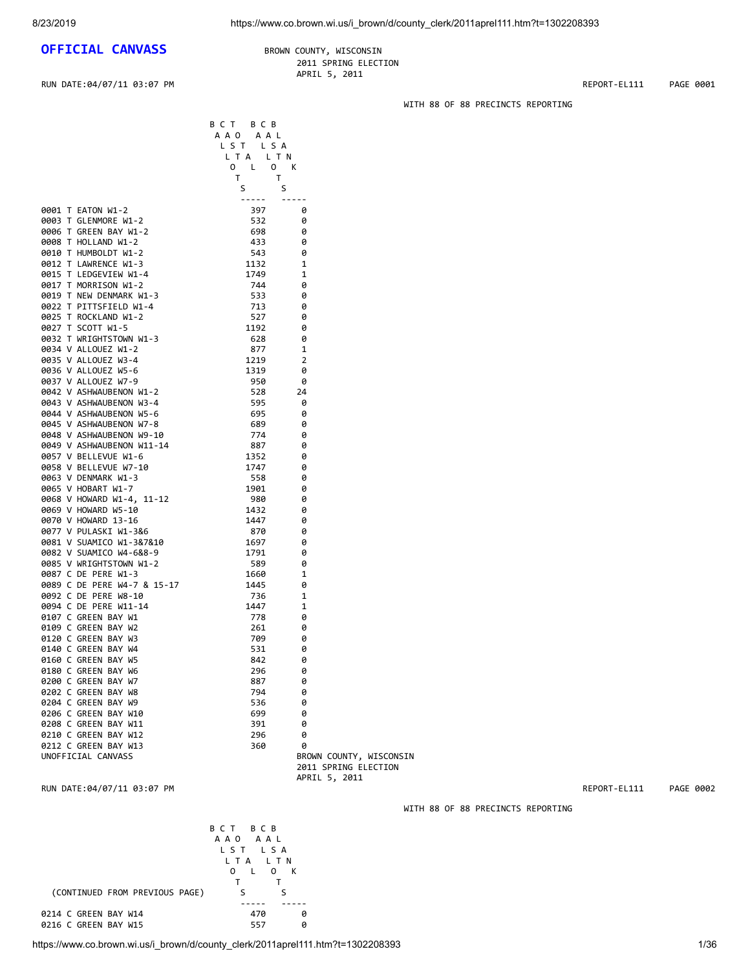## **OFFICIAL CANVASS** BROWN COUNTY, WISCONSIN

 2011 SPRING ELECTION APRIL 5, 2011

B C T B C B

 L T A L T N O L O K

0003 T GLENMORE W1-2

0010 T HUMBOLDT W1-2

0017 T MORRISON W1-2

0034 V ALLOUEZ W1-2

0037 V ALLOUEZ W7-9

0057 V BELLEVUE W1-6

0089 C DE PERE W4-7 & 15-17

0107 C GREEN BAY W1

0160 C GREEN BAY W5

0202 C GREEN BAY W8

0208 C GREEN BAY W11

 A A O A A L L S T L S A

 T T s such that the state of  $S$  ----- ----- 0001 T EATON W1-2<br>0003 T GLENMORE W1-2 397 32 0

0006 T GREEN BAY W1-2 698 698 698<br>19008 T HOLLAND W1-2 698 698 698 0008 T HOLLAND W1-2 433 0<br>0010 T HUMBOLDT W1-2 433 0

0012 T LAWRENCE W1-3 1132 1<br>0015 T LEDGEVIEW W1-4 1749 1 0015 T LEDGEVIEW W1-4 1749 1<br>0017 T MORRISON W1-2 1744 0

0019 T NEW DENMARK W1-3 533 0 0022 T PITTSFIELD W1-4 713 0<br>0025 T ROCKLAND W1-2 527 0 0025 T ROCKLAND W1-2 527<br>0027 T SCOTT W1-5 5 527 0027 T SCOTT W1-5 1192 0 0032 T WRIGHTSTOWN W1-3 628 0

0035 V ALLOUEZ W3-4 1219 2 0036 V ALLOUEZ W5-6 1319 0

0042 V ASHWAUBENON W1-2 528 24 0043 V ASHWAUBENON W3-4 595 0 0044 V ASHWAUBENON W5-6 695 0 0045 V ASHWAUBENON W7-8 689 689 6<br>0048 V ASHWAUBENON W9-10 6 774 6 0048 V ASHWAUBENON W9-10<br>0049 V ASHWAUBENON W11-14 0049 V ASHWAUBENON W11-14 0049 V ASHWAUBENON W11-14 887 0

0063 V DENMARK W1-3 558 0

0069 V HOWARD W5-10<br>0070 V HOWARD 13-16 1447 0070 V HOWARD 13-16 1447 0 0077 V PULASKI W1-3&6 870 870 0081 V SUAMICO W1-3&7&10 1697 0<br>0082 V SUAMICO W4-6&8-9 1791 0 0082 V SUAMICO W4-6&8-9 1791 0 0085 V WRIGHTSTOWN W1-2 589 0 0087 C DE PERE W1-3 1560 1<br>0089 C DE PERE W4-7 & 15-17 1445 0

0092 C DE PERE W8-10 736 736 1 0094 C DE PERE W11-14 1447 1<br>0107 C GREEN BAY W1 778 0

0109 C GREEN BAY W2 261 0 a 120 C GREEN BAY W3 709 209 0

0206 C GREEN BAY W10<br>0208 C GREEN BAY W11 699 91 0

RUN DATE:04/07/11 03:07 PM REPORT-EL111 PAGE 0001

WITH 88 OF 88 PRECINCTS REPORTING

0058 V BELLEVUE W7-10 1747 0 0065 V HOBART W1-7 1901 0 0068 V HOWARD W1-4, 11-12 980 0<br>0069 V HOWARD W5-10 1432 0

0140 C GREEN BAY W4 531 0<br>0160 C GREEN BAY W5 642 0 0180 C GREEN BAY W6 296 0 0200 C GREEN BAY W7 887 0<br>0202 C GREEN BAY W8 794 0 0204 C GREEN BAY W9 536 0<br>0206 C GREEN BAY W10 699 0

0210 C GREEN BAY W12 296 0<br>0212 C GREEN BAY W13 360 0 0212 C GREEN BAY W13 360 0<br>UNOFFICIAL CANVASS BR BROWN COUNTY, WISCONSIN 2011 SPRING ELECTION APRIL 5, 2011

RUN DATE:04/07/11 03:07 PM REPORT-EL111 PAGE 0002

WITH 88 OF 88 PRECINCTS REPORTING

 B C T B C B A A O A A L L S T L S A L T A L T N O L O K T T (CONTINUED FROM PREVIOUS PAGE) S S ----- ----- 0214 C GREEN BAY W14 470 0 0216 C GREEN BAY W15

https://www.co.brown.wi.us/i\_brown/d/county\_clerk/2011aprel111.htm?t=1302208393 1/36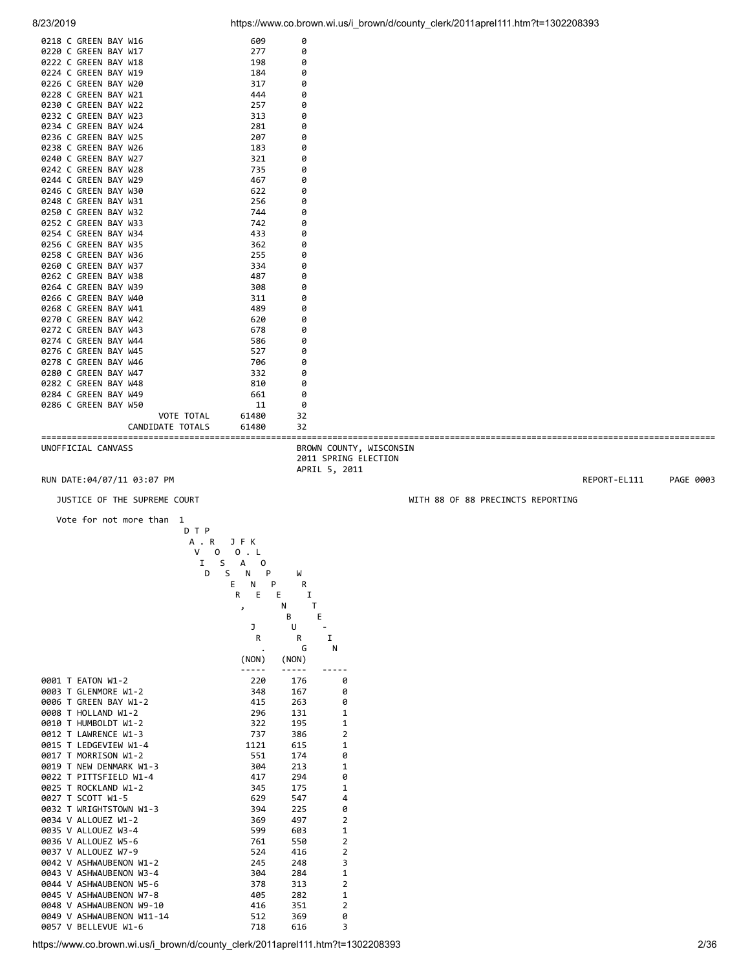0218 C GREEN BAY W16 609 609 0

| 0226 C GREEN BAY W20<br>0228 C GREEN BAY W21 | 317<br>444                           | 0<br>0                  |                                   |           |
|----------------------------------------------|--------------------------------------|-------------------------|-----------------------------------|-----------|
| 0230 C GREEN BAY W22                         | 257                                  | 0                       |                                   |           |
| 0232 C GREEN BAY W23<br>0234 C GREEN BAY W24 | 313<br>281                           | 0<br>0                  |                                   |           |
| 0236 C GREEN BAY W25                         | 207                                  | 0                       |                                   |           |
| 0238 C GREEN BAY W26                         | 183                                  | 0                       |                                   |           |
| 0240 C GREEN BAY W27                         | 321                                  | 0                       |                                   |           |
| 0242 C GREEN BAY W28                         | 735                                  | 0                       |                                   |           |
| 0244 C GREEN BAY W29<br>0246 C GREEN BAY W30 | 467<br>622                           | 0<br>0                  |                                   |           |
| 0248 C GREEN BAY W31                         | 256                                  | 0                       |                                   |           |
| 0250 C GREEN BAY W32                         | 744                                  | 0                       |                                   |           |
| 0252 C GREEN BAY W33                         | 742                                  | 0                       |                                   |           |
| 0254 C GREEN BAY W34                         | 433                                  | 0                       |                                   |           |
| 0256 C GREEN BAY W35                         | 362                                  | 0                       |                                   |           |
| 0258 C GREEN BAY W36<br>0260 C GREEN BAY W37 | 255<br>334                           | 0<br>0                  |                                   |           |
| 0262 C GREEN BAY W38                         | 487                                  | 0                       |                                   |           |
| 0264 C GREEN BAY W39                         | 308                                  | 0                       |                                   |           |
| 0266 C GREEN BAY W40                         | 311                                  | 0                       |                                   |           |
| 0268 C GREEN BAY W41                         | 489                                  | 0                       |                                   |           |
| 0270 C GREEN BAY W42                         | 620                                  | 0<br>0                  |                                   |           |
| 0272 C GREEN BAY W43<br>0274 C GREEN BAY W44 | 678<br>586                           | 0                       |                                   |           |
| 0276 C GREEN BAY W45                         | 527                                  | 0                       |                                   |           |
| 0278 C GREEN BAY W46                         | 706                                  | 0                       |                                   |           |
| 0280 C GREEN BAY W47                         | 332                                  | 0                       |                                   |           |
| 0282 C GREEN BAY W48                         | 810                                  | 0                       |                                   |           |
| 0284 C GREEN BAY W49<br>0286 C GREEN BAY W50 | 661<br>11                            | 0<br>0                  |                                   |           |
| VOTE TOTAL                                   | 61480                                | 32                      |                                   |           |
| CANDIDATE TOTALS                             | 61480                                | 32                      |                                   |           |
| UNOFFICIAL CANVASS                           |                                      | BROWN COUNTY, WISCONSIN |                                   |           |
|                                              |                                      | 2011 SPRING ELECTION    |                                   |           |
| RUN DATE: 04/07/11 03:07 PM                  |                                      | APRIL 5, 2011           |                                   | PAGE 0003 |
|                                              |                                      |                         | REPORT-EL111                      |           |
| JUSTICE OF THE SUPREME COURT                 |                                      |                         | WITH 88 OF 88 PRECINCTS REPORTING |           |
| Vote for not more than 1                     |                                      |                         |                                   |           |
| D T P                                        |                                      |                         |                                   |           |
| A . R                                        | JFK                                  |                         |                                   |           |
| V<br>S<br>Ι.                                 | $0 \quad 0 \quad L$<br>A<br>$\Omega$ |                         |                                   |           |
| D                                            | S.<br>N<br>P                         | W                       |                                   |           |
|                                              | E.<br>N<br>P                         | R                       |                                   |           |
|                                              | E<br>E<br>R                          | Ι.                      |                                   |           |
|                                              | $\overline{\phantom{a}}$             | N<br>T                  |                                   |           |
|                                              | J                                    | E<br>В                  |                                   |           |
|                                              |                                      | U                       |                                   |           |
|                                              |                                      |                         |                                   |           |
|                                              | R                                    | Ι.<br>R<br>G<br>N       |                                   |           |

|  |                           | (NON) | (NON) |                |
|--|---------------------------|-------|-------|----------------|
|  |                           |       |       |                |
|  | 0001 T EATON W1-2         | 220   | 176   | 0              |
|  | 0003 T GLENMORE W1-2      | 348   | 167   | 0              |
|  | 0006 T GREEN BAY W1-2     | 415   | 263   | ø              |
|  | 0008 T HOLLAND W1-2       | 296 — | 131   | $\mathbf{1}$   |
|  | 0010 T HUMBOLDT W1-2      | 322   | 195   | $\mathbf{1}$   |
|  | 0012 T LAWRENCE W1-3      | 737   | 386   | $\overline{2}$ |
|  | 0015 T LEDGEVIEW W1-4     | 1121  | 615   | $\mathbf{1}$   |
|  | 0017 T MORRISON W1-2      | 551   | 174   | 0              |
|  | 0019 T NEW DENMARK W1-3   | 304   | 213   | 1              |
|  | 0022 T PITTSFIELD W1-4    | 417   | 294   | 0              |
|  | 0025 T ROCKLAND W1-2      | 345   | 175   | $\mathbf{1}$   |
|  | 0027 T SCOTT W1-5         | 629   | 547   | 4              |
|  | 0032 T WRIGHTSTOWN W1-3   | 394   | 225   | 0              |
|  | 0034 V ALLOUEZ W1-2       | 369   | 497   | $\overline{2}$ |
|  | 0035 V ALLOUEZ W3-4       | 599   | 603   | $\mathbf{1}$   |
|  | 0036 V ALLOUEZ W5-6       | 761   | 550   | $\overline{2}$ |
|  | 0037 V ALLOUEZ W7-9       | 524   | 416   | $\overline{2}$ |
|  | 0042 V ASHWAUBENON W1-2   | 245   | 248   | 3              |
|  | 0043 V ASHWAUBENON W3-4   | 304   | 284   | $\mathbf{1}$   |
|  | 0044 V ASHWAUBENON W5-6   | 378   | 313   | $\overline{2}$ |
|  | 0045 V ASHWAUBENON W7-8   | 405   | 282   | $\mathbf{1}$   |
|  | 0048 V ASHWAUBENON W9-10  | 416   | 351   | $\overline{2}$ |
|  | 0049 V ASHWAUBENON W11-14 | 512   | 369   | 0              |
|  | 0057 V BELLEVUE W1-6      | 718   | 616   | 3              |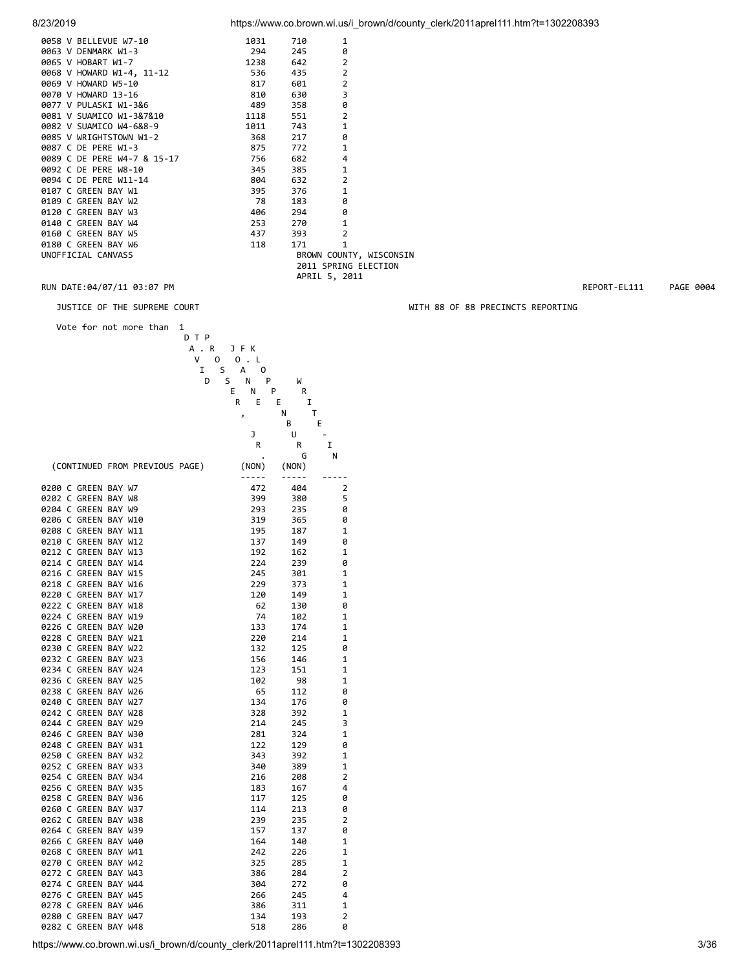| 0058 V BELLEVUE W7-10                                               | 1031  | 710                                                                                                                                                                                                                             | 1                       |
|---------------------------------------------------------------------|-------|---------------------------------------------------------------------------------------------------------------------------------------------------------------------------------------------------------------------------------|-------------------------|
| 0063 V DENMARK W1-3<br>0065 V HOBART W1-7                           | 294   | 245                                                                                                                                                                                                                             | 0                       |
|                                                                     | 1238  | 642                                                                                                                                                                                                                             | $\overline{2}$          |
| 0068 V HOWARD W1-4, 11-12                                           | 536 7 | 435 — 13                                                                                                                                                                                                                        | $\overline{2}$          |
| 0069 V HOWARD W5-10<br>0070 V HOWARD 13-16<br>0077 V PULASKI W1-3&6 | 817   | 601 — 10                                                                                                                                                                                                                        | $\overline{2}$          |
|                                                                     | 810   | 630 — 10                                                                                                                                                                                                                        | 3                       |
|                                                                     | 489   | 358 35                                                                                                                                                                                                                          | 0                       |
| 0081 V SUAMICO W1-3&7&10                                            | 1118  | 551                                                                                                                                                                                                                             | $\overline{2}$          |
| 0082 V SUAMICO W4-6&8-9                                             | 1011  | 743 — 1                                                                                                                                                                                                                         | $\mathbf{1}$            |
| 0085 V WRIGHTSTOWN W1-2                                             | 368 — | 217                                                                                                                                                                                                                             | 0                       |
| 0087 C DE PERE W1-3                                                 | 875   | 772                                                                                                                                                                                                                             | $\mathbf{1}$            |
| 0089 C DE PERE W4-7 & 15-17                                         | 756 — | 682 — 10                                                                                                                                                                                                                        | 4                       |
| 0092 C DE PERE W8-10                                                | 345   |                                                                                                                                                                                                                                 | $\mathbf{1}$            |
| 0094 C DE PERE W11-14                                               | 804   |                                                                                                                                                                                                                                 | $\overline{2}$          |
| 0107 C GREEN BAY W1                                                 | 395   | 376 — 1                                                                                                                                                                                                                         | $\mathbf{1}$            |
| 0109 C GREEN BAY W2                                                 | 78    | 183 — 183                                                                                                                                                                                                                       | 0                       |
| 0120 C GREEN BAY W3                                                 | 406 — | 294 — 294 — 295 — 295 — 295 — 205 — 205 — 205 — 205 — 205 — 205 — 205 — 205 — 205 — 205 — 205 — 205 — 205 — 205 — 205 — 205 — 205 — 205 — 205 — 205 — 205 — 205 — 205 — 205 — 205 — 205 — 205 — 205 — 205 — 205 — 205 — 205 — 2 | 0                       |
| 0140 C GREEN BAY W4                                                 | 253   | 270                                                                                                                                                                                                                             | $\mathbf{1}$            |
| 0160 C GREEN BAY W5                                                 | 437   |                                                                                                                                                                                                                                 | $\overline{2}$          |
| 0180 C GREEN BAY W6                                                 | 118   | 171                                                                                                                                                                                                                             | $\mathbf{1}$            |
| UNOFFICIAL CANVASS                                                  |       |                                                                                                                                                                                                                                 | BROWN COUNTY, WISCONSIN |
|                                                                     |       |                                                                                                                                                                                                                                 | 2011 SPRING ELECTION    |
|                                                                     |       | APRIL 5, 2011                                                                                                                                                                                                                   |                         |

RUN DATE:04/07/11 03:07 PM REPORT-EL111 PAGE 0004

JUSTICE OF THE SUPREME COURT WITH 88 OF 88 PRECINCTS REPORTING

 Vote for not more than 1 D T P A . R J F K V O O . L

| Ι                              | S<br>А<br>0 |        |                |
|--------------------------------|-------------|--------|----------------|
| D                              | S<br>P<br>Ν | W      |                |
|                                | E<br>N      | P<br>R |                |
|                                | R<br>E      | E<br>I |                |
|                                | J           | т<br>Ν |                |
|                                |             | В      | E              |
|                                | J           | U      |                |
|                                | R           | R      | I              |
|                                |             | G      | N              |
|                                |             |        |                |
| (CONTINUED FROM PREVIOUS PAGE) | (NON)       | (NON)  |                |
|                                | -----       | -----  |                |
| 0200 C GREEN BAY W7            | 472         | 404    | 2              |
| 0202 C GREEN BAY W8            | 399         | 380    | 5              |
| 0204 C GREEN BAY W9            | 293         | 235    | 0              |
| 0206 C GREEN BAY W10           | 319         | 365    | 0              |
| 0208 C GREEN BAY W11           | 195         | 187    | 1              |
| 0210 C GREEN BAY W12           | 137         | 149    | 0              |
| 0212 C GREEN BAY W13           | 192         | 162    | 1              |
| 0214 C GREEN BAY W14           | 224         | 239    | 0              |
| 0216 C GREEN BAY W15           | 245         | 301    | 1              |
| 0218 C GREEN BAY W16           | 229         | 373    | 1              |
| 0220 C GREEN BAY W17           | 120         | 149    | 1              |
| 0222 C GREEN BAY W18           | 62          | 130    | 0              |
| 0224 C GREEN BAY W19           | 74          | 102    | 1              |
| 0226 C GREEN BAY W20           | 133         | 174    | 1              |
| 0228 C GREEN BAY W21           | 220         | 214    | 1              |
| 0230 C GREEN BAY W22           | 132         | 125    | 0              |
| 0232 C GREEN BAY W23           | 156         | 146    | 1              |
| 0234 C GREEN BAY W24           | 123         | 151    | 1              |
| 0236 C GREEN BAY W25           | 102         | 98     | 1              |
| 0238 C GREEN BAY W26           | 65          | 112    | 0              |
| 0240 C GREEN BAY W27           | 134         | 176    | 0              |
| 0242 C GREEN BAY W28           | 328         |        | 1              |
|                                |             | 392    |                |
| 0244 C GREEN BAY W29           | 214         | 245    | 3              |
| 0246 C GREEN BAY W30           | 281         | 324    | 1              |
| 0248 C GREEN BAY W31           | 122         | 129    | 0              |
| 0250 C GREEN BAY W32           | 343         | 392    | 1              |
| 0252 C GREEN BAY W33           | 340         | 389    | 1              |
| 0254 C GREEN BAY W34           | 216         | 208    | $\overline{2}$ |
| 0256 C GREEN BAY W35           | 183         | 167    | 4              |
| 0258 C GREEN BAY W36           | 117         | 125    | 0              |
| 0260 C GREEN BAY W37           | 114         | 213    | 0              |
| 0262 C GREEN BAY W38           | 239         | 235    | $\overline{2}$ |
| 0264 C GREEN BAY W39           | 157         | 137    | 0              |
| 0266 C GREEN BAY W40           | 164         | 140    | 1              |
| 0268 C GREEN BAY W41           | 242         | 226    | 1              |
| 0270 C GREEN BAY W42           | 325         | 285    | 1              |
| 0272 C GREEN BAY W43           | 386         | 284    | 2              |
| 0274 C GREEN BAY W44           | 304         | 272    | 0              |
| 0276 C GREEN BAY W45           | 266         | 245    | 4              |
| 0278 C GREEN BAY W46           | 386         | 311    | 1              |
| 0280 C GREEN BAY W47           | 134         | 193    | $\overline{2}$ |
| 0282 C GREEN BAY W48           | 518         | 286    | 0              |
|                                |             |        |                |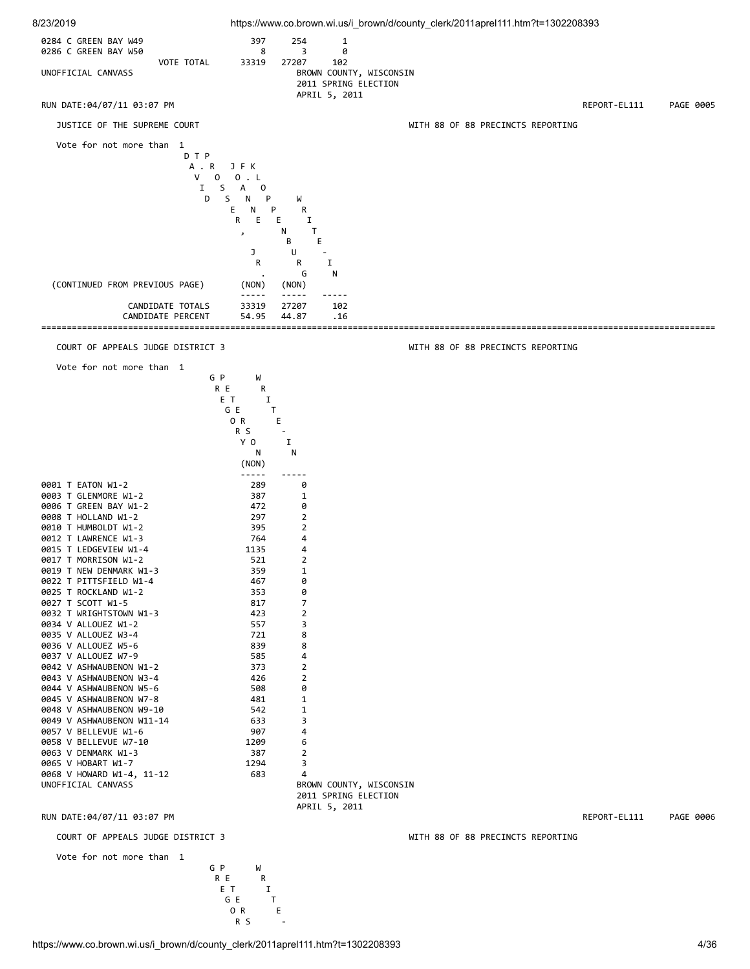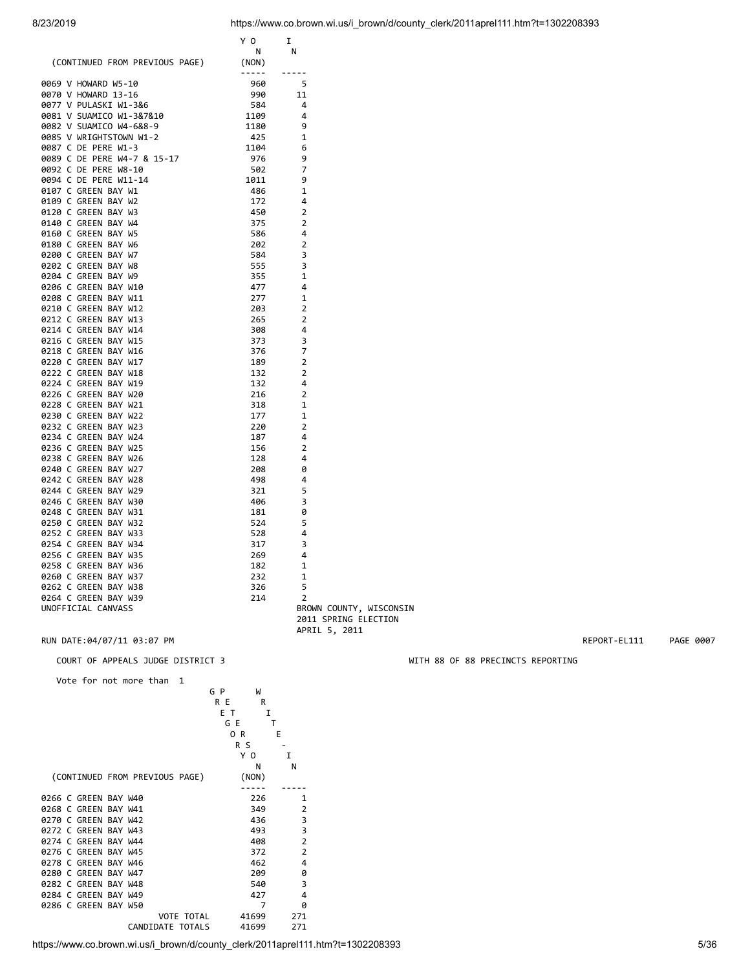|                                                                                                                             | Y O                                                                                                                                                                                                                                                                                                                                                                                          | I                                                                                                                                                                                                                                                                                                                                                                                            |                         |
|-----------------------------------------------------------------------------------------------------------------------------|----------------------------------------------------------------------------------------------------------------------------------------------------------------------------------------------------------------------------------------------------------------------------------------------------------------------------------------------------------------------------------------------|----------------------------------------------------------------------------------------------------------------------------------------------------------------------------------------------------------------------------------------------------------------------------------------------------------------------------------------------------------------------------------------------|-------------------------|
|                                                                                                                             | <b>N</b>                                                                                                                                                                                                                                                                                                                                                                                     | N                                                                                                                                                                                                                                                                                                                                                                                            |                         |
| (CONTINUED FROM PREVIOUS PAGE)                                                                                              | (NON)                                                                                                                                                                                                                                                                                                                                                                                        |                                                                                                                                                                                                                                                                                                                                                                                              |                         |
|                                                                                                                             | $\frac{1}{2} \frac{1}{2} \frac{1}{2} \frac{1}{2} \frac{1}{2} \frac{1}{2} \frac{1}{2} \frac{1}{2} \frac{1}{2} \frac{1}{2} \frac{1}{2} \frac{1}{2} \frac{1}{2} \frac{1}{2} \frac{1}{2} \frac{1}{2} \frac{1}{2} \frac{1}{2} \frac{1}{2} \frac{1}{2} \frac{1}{2} \frac{1}{2} \frac{1}{2} \frac{1}{2} \frac{1}{2} \frac{1}{2} \frac{1}{2} \frac{1}{2} \frac{1}{2} \frac{1}{2} \frac{1}{2} \frac{$ | $\frac{1}{2} \frac{1}{2} \frac{1}{2} \frac{1}{2} \frac{1}{2} \frac{1}{2} \frac{1}{2} \frac{1}{2} \frac{1}{2} \frac{1}{2} \frac{1}{2} \frac{1}{2} \frac{1}{2} \frac{1}{2} \frac{1}{2} \frac{1}{2} \frac{1}{2} \frac{1}{2} \frac{1}{2} \frac{1}{2} \frac{1}{2} \frac{1}{2} \frac{1}{2} \frac{1}{2} \frac{1}{2} \frac{1}{2} \frac{1}{2} \frac{1}{2} \frac{1}{2} \frac{1}{2} \frac{1}{2} \frac{$ |                         |
| 0069 V HOWARD W5-10                                                                                                         | 960                                                                                                                                                                                                                                                                                                                                                                                          | - 5                                                                                                                                                                                                                                                                                                                                                                                          |                         |
| 0070 V HOWARD 13-16                                                                                                         | 990                                                                                                                                                                                                                                                                                                                                                                                          | 11                                                                                                                                                                                                                                                                                                                                                                                           |                         |
| 0077 V PULASKI W1-3&6                                                                                                       | 584                                                                                                                                                                                                                                                                                                                                                                                          | $\overline{4}$                                                                                                                                                                                                                                                                                                                                                                               |                         |
| <b>0081 V SUAMICO W1-3&amp;7&amp;10<br/>0082 V SUAMICO W4-6&amp;8-9<br/>0085 V WRIGHTSTOWN W1-2<br/>0087 C DE PERE W1-3</b> | 1109                                                                                                                                                                                                                                                                                                                                                                                         | $\overline{4}$                                                                                                                                                                                                                                                                                                                                                                               |                         |
|                                                                                                                             | 1180                                                                                                                                                                                                                                                                                                                                                                                         | 9                                                                                                                                                                                                                                                                                                                                                                                            |                         |
|                                                                                                                             | 425                                                                                                                                                                                                                                                                                                                                                                                          | 1                                                                                                                                                                                                                                                                                                                                                                                            |                         |
|                                                                                                                             | 1104                                                                                                                                                                                                                                                                                                                                                                                         | 6                                                                                                                                                                                                                                                                                                                                                                                            |                         |
| 0089 C DE PERE W4-7 & 15-17<br>0092 C DE PERE W8-10                                                                         | 976                                                                                                                                                                                                                                                                                                                                                                                          | 9                                                                                                                                                                                                                                                                                                                                                                                            |                         |
|                                                                                                                             | 502                                                                                                                                                                                                                                                                                                                                                                                          | 7                                                                                                                                                                                                                                                                                                                                                                                            |                         |
|                                                                                                                             |                                                                                                                                                                                                                                                                                                                                                                                              |                                                                                                                                                                                                                                                                                                                                                                                              |                         |
| 0094 C DE PERE W11-14                                                                                                       | 1011                                                                                                                                                                                                                                                                                                                                                                                         | 9                                                                                                                                                                                                                                                                                                                                                                                            |                         |
| 0107 C GREEN BAY W1                                                                                                         | 486                                                                                                                                                                                                                                                                                                                                                                                          | 1                                                                                                                                                                                                                                                                                                                                                                                            |                         |
| 0109 C GREEN BAY W2                                                                                                         | 172                                                                                                                                                                                                                                                                                                                                                                                          | 4                                                                                                                                                                                                                                                                                                                                                                                            |                         |
| 0120 C GREEN BAY W3                                                                                                         | 450                                                                                                                                                                                                                                                                                                                                                                                          | 2                                                                                                                                                                                                                                                                                                                                                                                            |                         |
| 0140 C GREEN BAY W4                                                                                                         | 375                                                                                                                                                                                                                                                                                                                                                                                          | $\overline{2}$                                                                                                                                                                                                                                                                                                                                                                               |                         |
| 0160 C GREEN BAY W5                                                                                                         | 586                                                                                                                                                                                                                                                                                                                                                                                          | 4                                                                                                                                                                                                                                                                                                                                                                                            |                         |
| 0180 C GREEN BAY W6                                                                                                         | 202                                                                                                                                                                                                                                                                                                                                                                                          | $\overline{2}$                                                                                                                                                                                                                                                                                                                                                                               |                         |
| 0200 C GREEN BAY W7                                                                                                         | 584                                                                                                                                                                                                                                                                                                                                                                                          | 3                                                                                                                                                                                                                                                                                                                                                                                            |                         |
| 0202 C GREEN BAY W8                                                                                                         | 555                                                                                                                                                                                                                                                                                                                                                                                          | 3                                                                                                                                                                                                                                                                                                                                                                                            |                         |
| 0204 C GREEN BAY W9                                                                                                         | 355                                                                                                                                                                                                                                                                                                                                                                                          | 1                                                                                                                                                                                                                                                                                                                                                                                            |                         |
| 0206 C GREEN BAY W10                                                                                                        | 477                                                                                                                                                                                                                                                                                                                                                                                          | 4                                                                                                                                                                                                                                                                                                                                                                                            |                         |
| 0208 C GREEN BAY W11                                                                                                        | 277                                                                                                                                                                                                                                                                                                                                                                                          | 1                                                                                                                                                                                                                                                                                                                                                                                            |                         |
|                                                                                                                             |                                                                                                                                                                                                                                                                                                                                                                                              |                                                                                                                                                                                                                                                                                                                                                                                              |                         |
| 0210 C GREEN BAY W12                                                                                                        | 203                                                                                                                                                                                                                                                                                                                                                                                          | 2                                                                                                                                                                                                                                                                                                                                                                                            |                         |
| 0212 C GREEN BAY W13                                                                                                        | 265                                                                                                                                                                                                                                                                                                                                                                                          | $\overline{2}$                                                                                                                                                                                                                                                                                                                                                                               |                         |
| 0214 C GREEN BAY W14                                                                                                        | 308                                                                                                                                                                                                                                                                                                                                                                                          | 4                                                                                                                                                                                                                                                                                                                                                                                            |                         |
| 0216 C GREEN BAY W15                                                                                                        | 373                                                                                                                                                                                                                                                                                                                                                                                          | 3                                                                                                                                                                                                                                                                                                                                                                                            |                         |
| 0218 C GREEN BAY W16                                                                                                        | 376                                                                                                                                                                                                                                                                                                                                                                                          | 7                                                                                                                                                                                                                                                                                                                                                                                            |                         |
| 0220 C GREEN BAY W17                                                                                                        | 189                                                                                                                                                                                                                                                                                                                                                                                          | $\overline{2}$                                                                                                                                                                                                                                                                                                                                                                               |                         |
| 0222 C GREEN BAY W18                                                                                                        | 132                                                                                                                                                                                                                                                                                                                                                                                          | $\overline{2}$                                                                                                                                                                                                                                                                                                                                                                               |                         |
| 0224 C GREEN BAY W19                                                                                                        | 132                                                                                                                                                                                                                                                                                                                                                                                          | 4                                                                                                                                                                                                                                                                                                                                                                                            |                         |
| 0226 C GREEN BAY W20                                                                                                        | 216                                                                                                                                                                                                                                                                                                                                                                                          | $\overline{2}$                                                                                                                                                                                                                                                                                                                                                                               |                         |
| 0228 C GREEN BAY W21                                                                                                        | 318                                                                                                                                                                                                                                                                                                                                                                                          | 1                                                                                                                                                                                                                                                                                                                                                                                            |                         |
| 0230 C GREEN BAY W22                                                                                                        | 177                                                                                                                                                                                                                                                                                                                                                                                          | 1                                                                                                                                                                                                                                                                                                                                                                                            |                         |
| 0232 C GREEN BAY W23                                                                                                        | 220                                                                                                                                                                                                                                                                                                                                                                                          | $\overline{2}$                                                                                                                                                                                                                                                                                                                                                                               |                         |
| 0234 C GREEN BAY W24                                                                                                        | 187                                                                                                                                                                                                                                                                                                                                                                                          | 4                                                                                                                                                                                                                                                                                                                                                                                            |                         |
| 0236 C GREEN BAY W25                                                                                                        | 156                                                                                                                                                                                                                                                                                                                                                                                          | $\overline{2}$                                                                                                                                                                                                                                                                                                                                                                               |                         |
|                                                                                                                             |                                                                                                                                                                                                                                                                                                                                                                                              |                                                                                                                                                                                                                                                                                                                                                                                              |                         |
| 0238 C GREEN BAY W26                                                                                                        | 128                                                                                                                                                                                                                                                                                                                                                                                          | 4                                                                                                                                                                                                                                                                                                                                                                                            |                         |
| 0240 C GREEN BAY W27                                                                                                        | 208                                                                                                                                                                                                                                                                                                                                                                                          | 0                                                                                                                                                                                                                                                                                                                                                                                            |                         |
| 0242 C GREEN BAY W28                                                                                                        | 498                                                                                                                                                                                                                                                                                                                                                                                          | 4                                                                                                                                                                                                                                                                                                                                                                                            |                         |
| 0244 C GREEN BAY W29                                                                                                        | 321                                                                                                                                                                                                                                                                                                                                                                                          | 5                                                                                                                                                                                                                                                                                                                                                                                            |                         |
| 0246 C GREEN BAY W30                                                                                                        | 406                                                                                                                                                                                                                                                                                                                                                                                          | 3                                                                                                                                                                                                                                                                                                                                                                                            |                         |
| 0248 C GREEN BAY W31                                                                                                        | 181                                                                                                                                                                                                                                                                                                                                                                                          | 0                                                                                                                                                                                                                                                                                                                                                                                            |                         |
| 0250 C GREEN BAY W32                                                                                                        | 524                                                                                                                                                                                                                                                                                                                                                                                          | 5                                                                                                                                                                                                                                                                                                                                                                                            |                         |
| 0252 C GREEN BAY W33                                                                                                        | 528                                                                                                                                                                                                                                                                                                                                                                                          | 4                                                                                                                                                                                                                                                                                                                                                                                            |                         |
| 0254 C GREEN BAY W34                                                                                                        | 317                                                                                                                                                                                                                                                                                                                                                                                          | 3                                                                                                                                                                                                                                                                                                                                                                                            |                         |
| 0256 C GREEN BAY W35                                                                                                        | 269                                                                                                                                                                                                                                                                                                                                                                                          | 4                                                                                                                                                                                                                                                                                                                                                                                            |                         |
| 0258 C GREEN BAY W36                                                                                                        | 182                                                                                                                                                                                                                                                                                                                                                                                          | 1                                                                                                                                                                                                                                                                                                                                                                                            |                         |
|                                                                                                                             |                                                                                                                                                                                                                                                                                                                                                                                              |                                                                                                                                                                                                                                                                                                                                                                                              |                         |
| 0260 C GREEN BAY W37                                                                                                        | 232                                                                                                                                                                                                                                                                                                                                                                                          | 1                                                                                                                                                                                                                                                                                                                                                                                            |                         |
| 0262 C GREEN BAY W38                                                                                                        | 326                                                                                                                                                                                                                                                                                                                                                                                          | 5                                                                                                                                                                                                                                                                                                                                                                                            |                         |
| 0264 C GREEN BAY W39                                                                                                        | 214                                                                                                                                                                                                                                                                                                                                                                                          | $\overline{2}$                                                                                                                                                                                                                                                                                                                                                                               |                         |
| UNOFFICIAL CANVASS                                                                                                          |                                                                                                                                                                                                                                                                                                                                                                                              |                                                                                                                                                                                                                                                                                                                                                                                              | BROWN COUNTY, WISCONSIN |

RUN DATE:04/07/11 03:07 PM **REPORT-EL111** PAGE 0007

Vote for not more than 1

|                      |                                | G P   | W                     |
|----------------------|--------------------------------|-------|-----------------------|
|                      |                                | R E   | R                     |
|                      |                                | ЕT    | I                     |
|                      |                                | G E   | т                     |
|                      |                                | 0 R   | E                     |
|                      |                                | R S   |                       |
|                      |                                | ΥO    | I                     |
|                      |                                |       | N<br>N                |
|                      | (CONTINUED FROM PREVIOUS PAGE) | (NON) |                       |
|                      |                                |       |                       |
| 0266 C GREEN BAY W40 |                                |       | 226<br>1              |
| 0268 C GREEN BAY W41 |                                |       | 349<br>$\overline{2}$ |
| 0270 C GREEN BAY W42 |                                |       | 3<br>436              |
| 0272 C GREEN BAY W43 |                                |       | 3<br>493              |
| 0274 C GREEN BAY W44 |                                |       | $\overline{2}$<br>408 |
| 0276 C GREEN BAY W45 |                                |       | $\overline{2}$<br>372 |
| 0278 C GREEN BAY W46 |                                |       | 462<br>4              |
| 0280 C GREEN BAY W47 |                                |       | 209<br>0              |
| 0282 C GREEN BAY W48 |                                |       | 3<br>540              |
| 0284 C GREEN BAY W49 |                                |       | 4<br>427              |
| 0286 C GREEN BAY W50 |                                |       | 7<br>0                |
|                      | <b>VOTE TOTAL</b>              | 41699 | 271                   |
|                      | CANDIDATE TOTALS               | 41699 | 271                   |
|                      |                                |       |                       |

COURT OF APPEALS JUDGE DISTRICT 3 WITH 88 OF 88 PRECINCTS REPORTING

https://www.co.brown.wi.us/i\_brown/d/county\_clerk/2011aprel111.htm?t=1302208393 5/36

2011 SPRING ELECTION

APRIL 5, 2011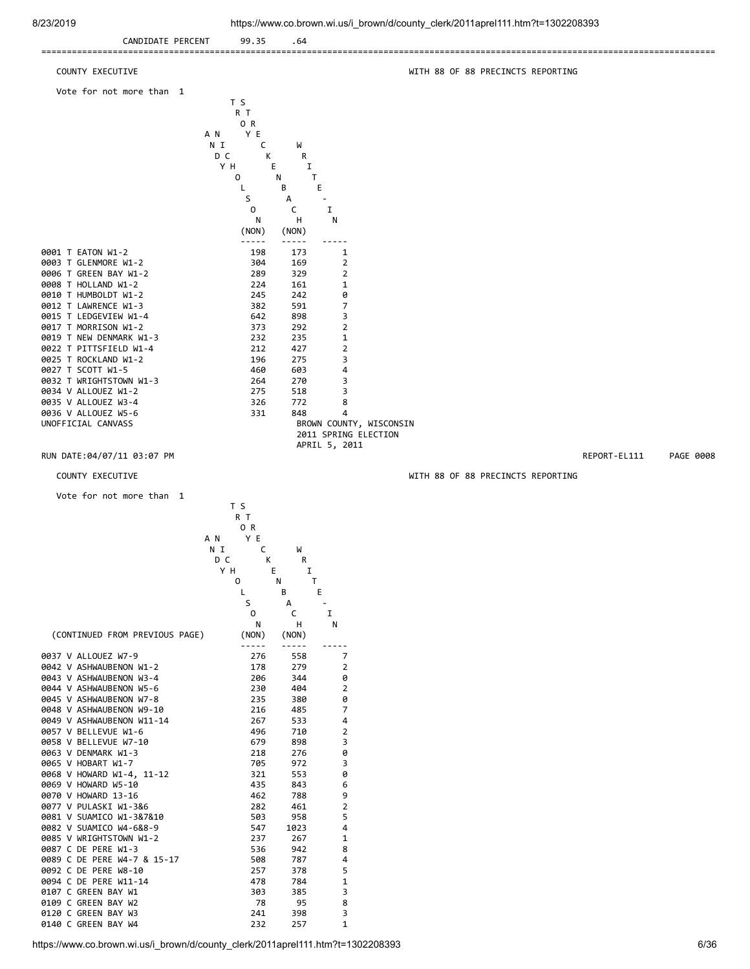

0109 C GREEN BAY W2 78 95 8<br>0120 C GREEN BAY W3 241 398 3 0120 C GREEN BAY W3 241 398 3<br>0140 C GREEN BAY W4 232 257 1 0140 C GREEN BAY W4 232 257 1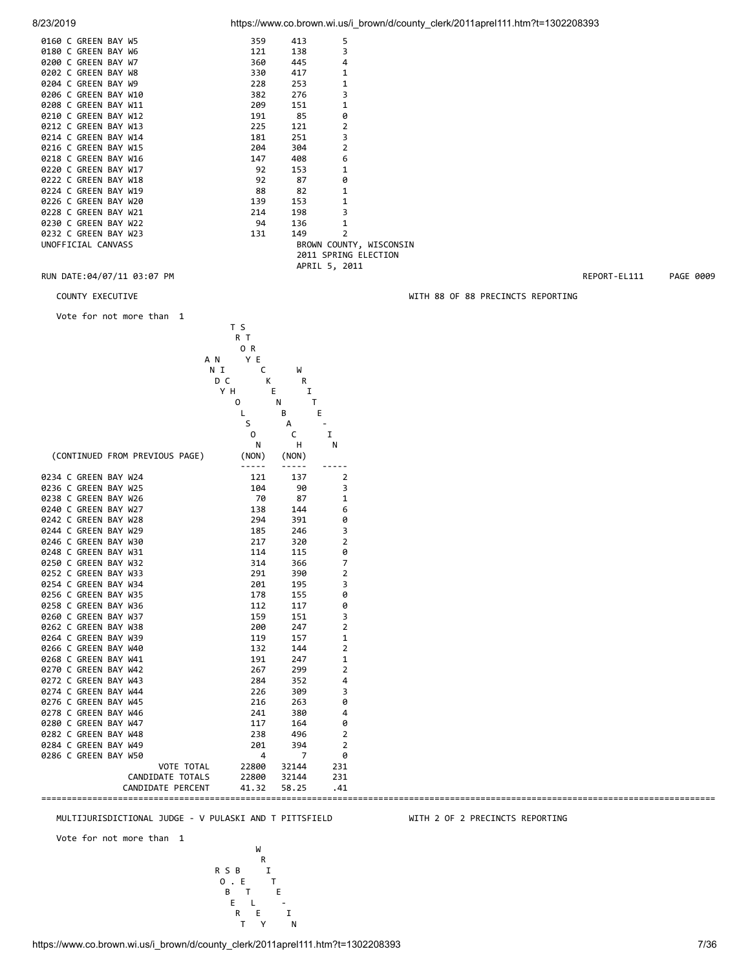0160 C

| 8/23/2019 | https://www.co.brown.wi.us/i brown/d/county clerk/2011aprel111.htm?t=1302208393 |  |  |
|-----------|---------------------------------------------------------------------------------|--|--|
|           |                                                                                 |  |  |

| 0160 C GREEN BAY W5  |  | 359 | 413 | 5                       |
|----------------------|--|-----|-----|-------------------------|
| 0180 C GREEN BAY W6  |  | 121 | 138 | 3                       |
| 0200 C GREEN BAY W7  |  | 360 | 445 | 4                       |
| 0202 C GREEN BAY W8  |  | 330 | 417 | 1                       |
| 0204 C GREEN BAY W9  |  | 228 | 253 | $\mathbf{1}$            |
| 0206 C GREEN BAY W10 |  | 382 | 276 | 3                       |
| 0208 C GREEN BAY W11 |  | 209 | 151 | 1                       |
| 0210 C GREEN BAY W12 |  | 191 | 85  | 0                       |
| 0212 C GREEN BAY W13 |  | 225 | 121 | $\overline{2}$          |
| 0214 C GREEN BAY W14 |  | 181 | 251 | 3                       |
| 0216 C GREEN BAY W15 |  | 204 | 304 | $\overline{2}$          |
| 0218 C GREEN BAY W16 |  | 147 | 408 | 6                       |
| 0220 C GREEN BAY W17 |  | 92  | 153 | 1                       |
| 0222 C GREEN BAY W18 |  | 92  | 87  | 0                       |
| 0224 C GREEN BAY W19 |  | 88  | 82  | 1                       |
| 0226 C GREEN BAY W20 |  | 139 | 153 | 1                       |
| 0228 C GREEN BAY W21 |  | 214 | 198 | 3                       |
| 0230 C GREEN BAY W22 |  | 94  | 136 | $\mathbf{1}$            |
| 0232 C GREEN BAY W23 |  | 131 | 149 | $\overline{2}$          |
| UNOFFICIAL CANVASS   |  |     |     | BROWN COUNTY, WISCONSIN |
|                      |  |     |     | 2011 SPRING ELECTION    |
|                      |  |     |     | APRIL 5, 2011           |

## RUN DATE:04/07/11 03:07 PM REPORT-EL111 PAGE 0009

Vote for not more than 1

|                                              | T S<br>R T      |                   |                         |
|----------------------------------------------|-----------------|-------------------|-------------------------|
|                                              | OR              |                   |                         |
|                                              | Y E<br>A N      |                   |                         |
|                                              | N I<br>С        | W                 |                         |
|                                              | D C<br>К<br>Y H | R<br>Ε<br>I       |                         |
|                                              | 0               | $\mathsf{T}$<br>N |                         |
|                                              |                 | В                 | Ε                       |
|                                              | S               | А                 |                         |
|                                              | 0               | C                 | I                       |
|                                              | N               | H                 | N                       |
| (CONTINUED FROM PREVIOUS PAGE)               | (NON)           | (NON)             |                         |
| 0234 C GREEN BAY W24                         | -----<br>121    | -----<br>137      | $\overline{2}$          |
| 0236 C GREEN BAY W25                         | 104             | 90                | 3                       |
| 0238 C GREEN BAY W26                         | 70              | 87                | 1                       |
| 0240 C GREEN BAY W27                         | 138             | 144               | 6                       |
| 0242 C GREEN BAY W28                         | 294             | 391               | 0                       |
| 0244 C GREEN BAY W29                         | 185             | 246               | 3                       |
| 0246 C GREEN BAY W30                         | 217             | 320               | $\overline{\mathbf{c}}$ |
| 0248 C GREEN BAY W31                         | 114             | 115               | 0                       |
| 0250 C GREEN BAY W32                         | 314             | 366               | 7                       |
| 0252 C GREEN BAY W33                         | 291             | 390               | $\overline{2}$          |
| 0254 C GREEN BAY W34                         | 201             | 195               | 3                       |
| 0256 C GREEN BAY W35                         | 178             | 155               | 0                       |
| 0258 C GREEN BAY W36                         | 112             | 117               | 0                       |
| 0260 C GREEN BAY W37                         | 159             | 151               | 3                       |
| 0262 C GREEN BAY W38                         | 200             | 247               | $\overline{\mathbf{c}}$ |
| 0264 C GREEN BAY W39                         | 119             | 157               | 1                       |
| 0266 C GREEN BAY W40                         | 132             | 144               | $\mathbf 2$             |
| 0268 C GREEN BAY W41                         | 191             | 247               | $\mathbf 1$             |
| 0270 C GREEN BAY W42                         | 267             | 299               | $\mathbf 2$             |
| 0272 C GREEN BAY W43                         | 284             | 352               | 4                       |
| 0274 C GREEN BAY W44                         | 226             | 309               | 3                       |
| 0276 C GREEN BAY W45                         | 216             | 263               | 0                       |
| 0278 C GREEN BAY W46                         | 241             | 380               | 4                       |
| 0280 C GREEN BAY W47                         | 117             | 164               | 0                       |
| 0282 C GREEN BAY W48<br>0284 C GREEN BAY W49 | 238<br>201      | 496<br>394        | 2<br>2                  |
| 0286 C GREEN BAY W50                         | $\overline{4}$  | $\overline{7}$    | 0                       |
| VOTE TOTAL                                   | 22800           | 32144             | 231                     |
| CANDIDATE TOTALS                             | 22800           | 32144             | 231                     |
| CANDIDATE PERCENT                            | 41.32           | 58.25             | .41                     |
| ========                                     |                 |                   |                         |

### MULTIJURISDICTIONAL JUDGE - V PULASKI AND T PITTSFIELD WITH 2 OF 2 PRECINCTS REPORTING

Vote for not more than 1



## https://www.co.brown.wi.us/i\_brown/d/county\_clerk/2011aprel111.htm?t=1302208393 7/36

COUNTY EXECUTIVE WITH 88 OF 88 PRECINCTS REPORTING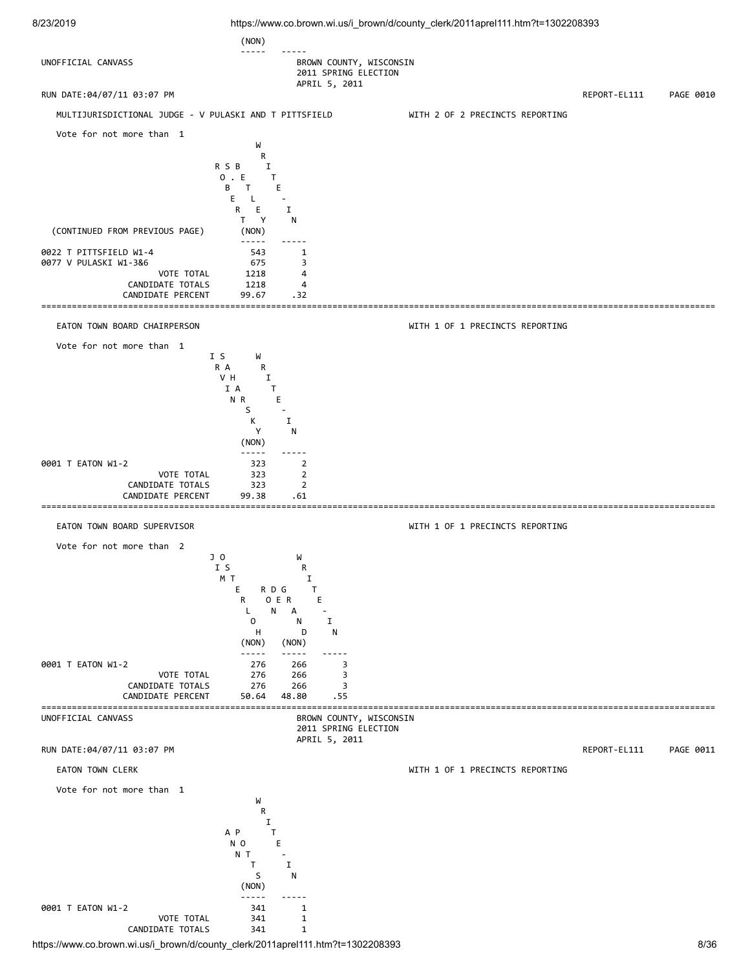

https://www.co.brown.wi.us/i\_brown/d/county\_clerk/2011aprel111.htm?t=1302208393 8/36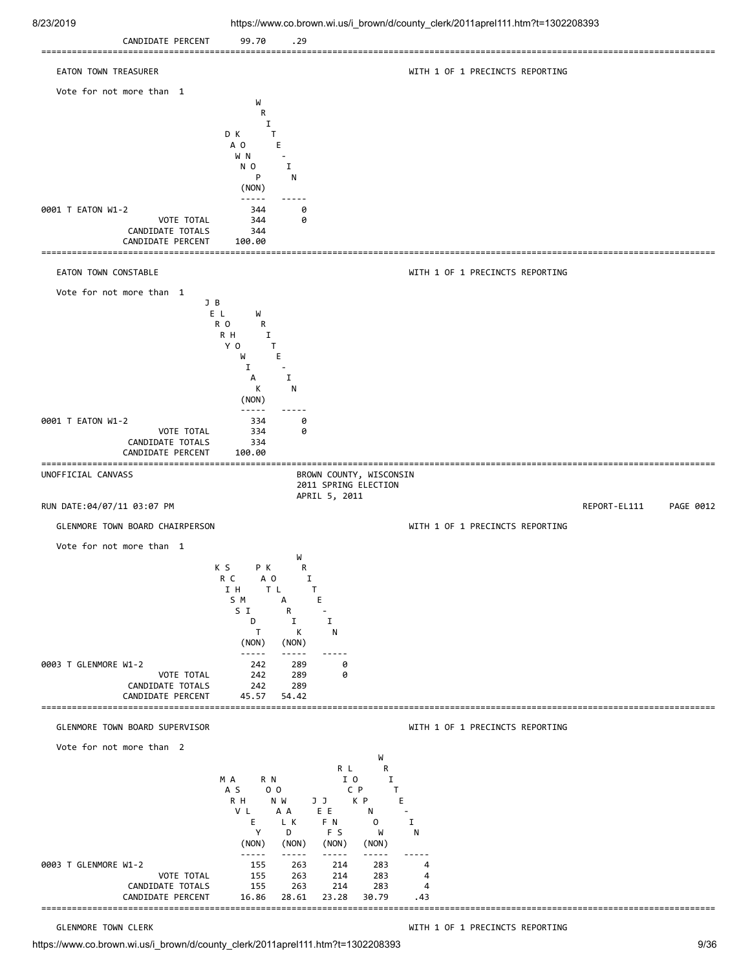

https://www.co.brown.wi.us/i\_brown/d/county\_clerk/2011aprel111.htm?t=1302208393 9/36

GLENMORE TOWN CLERK **WITH 1 OF 1 PRECINCTS REPORTING**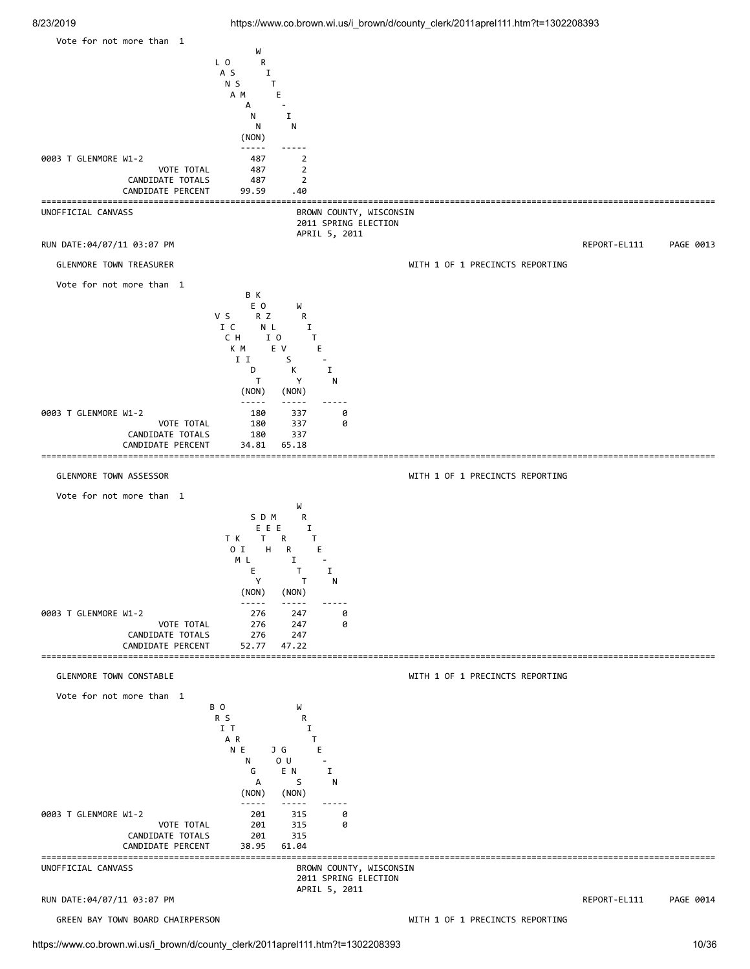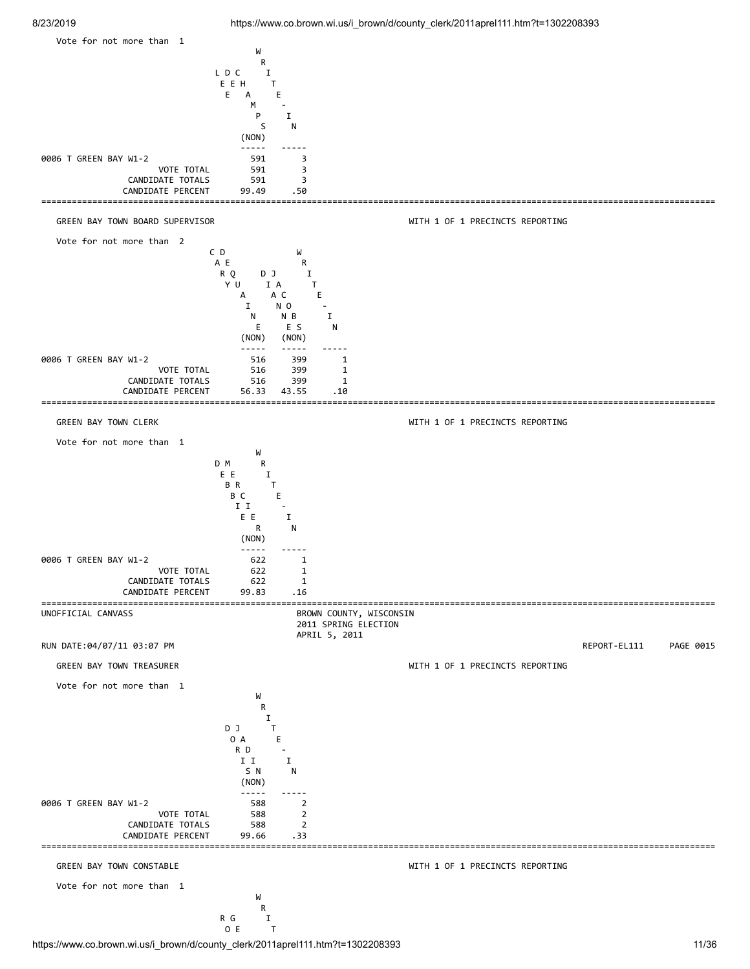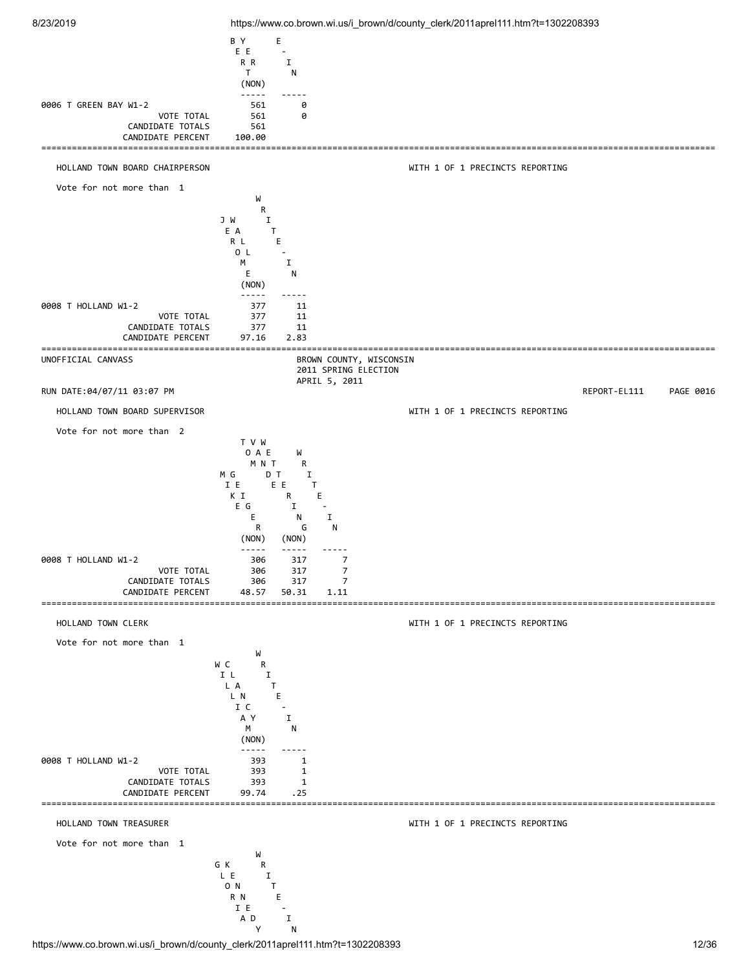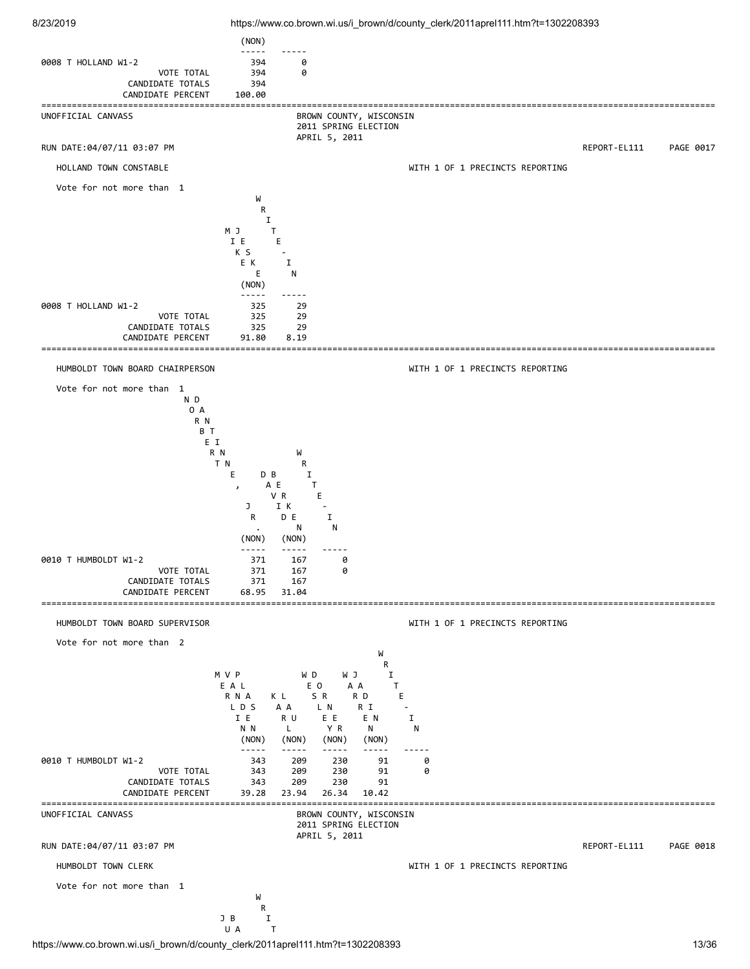

https://www.co.brown.wi.us/i\_brown/d/county\_clerk/2011aprel111.htm?t=1302208393 13/36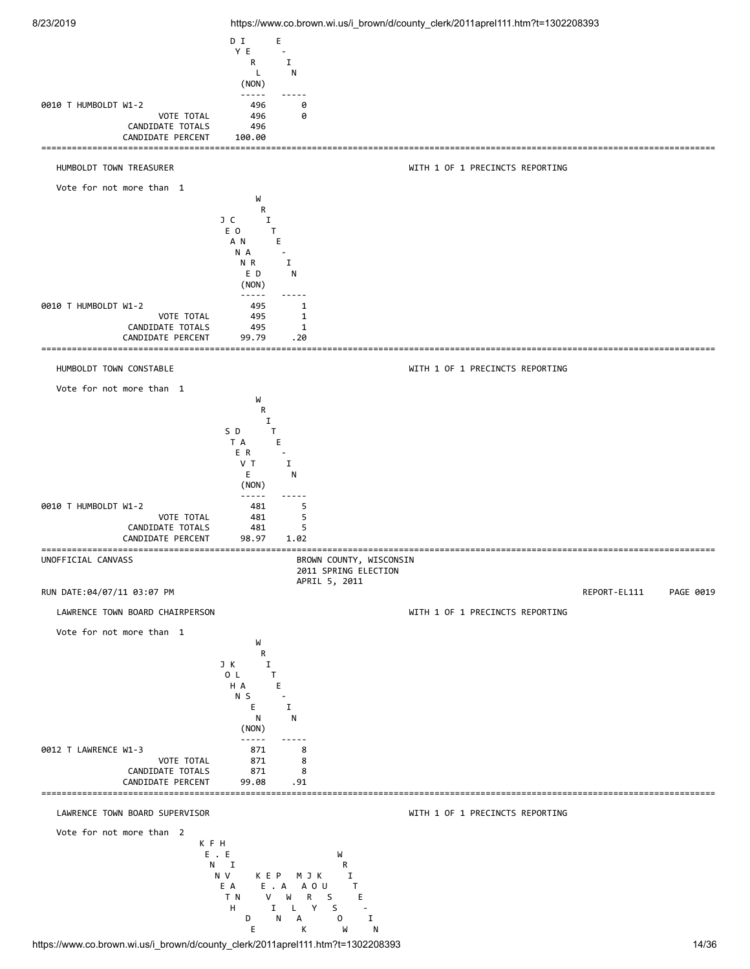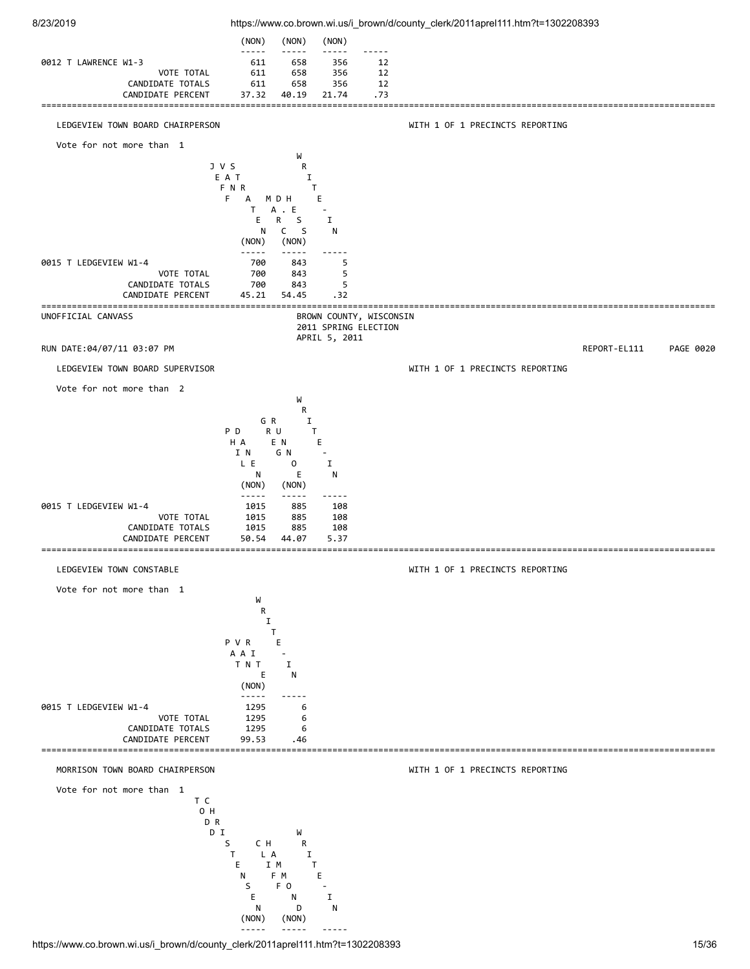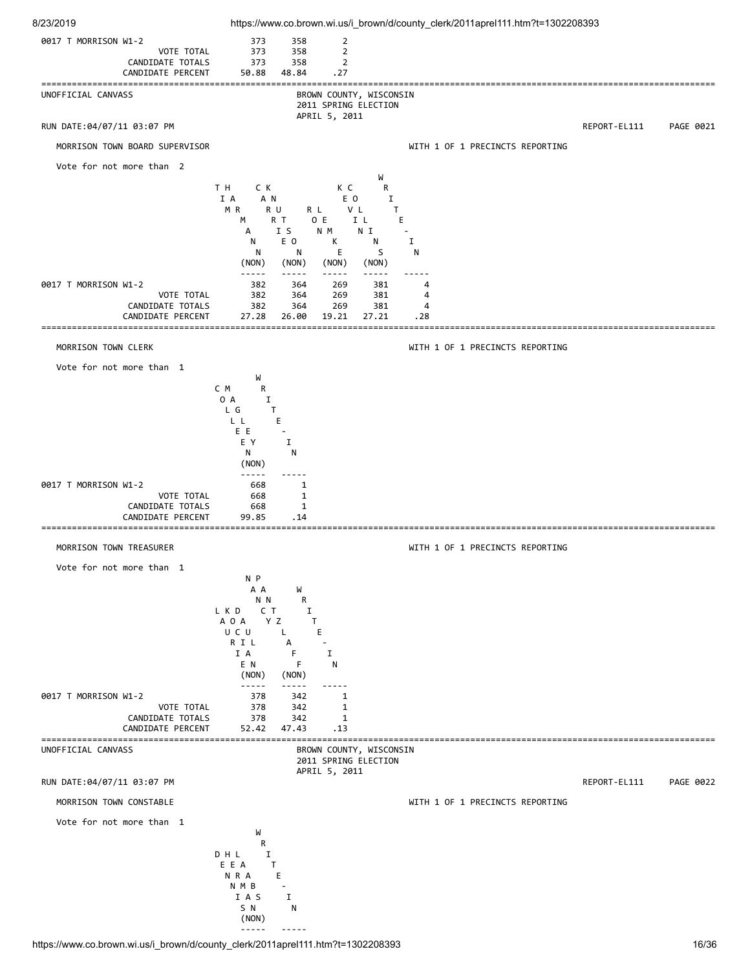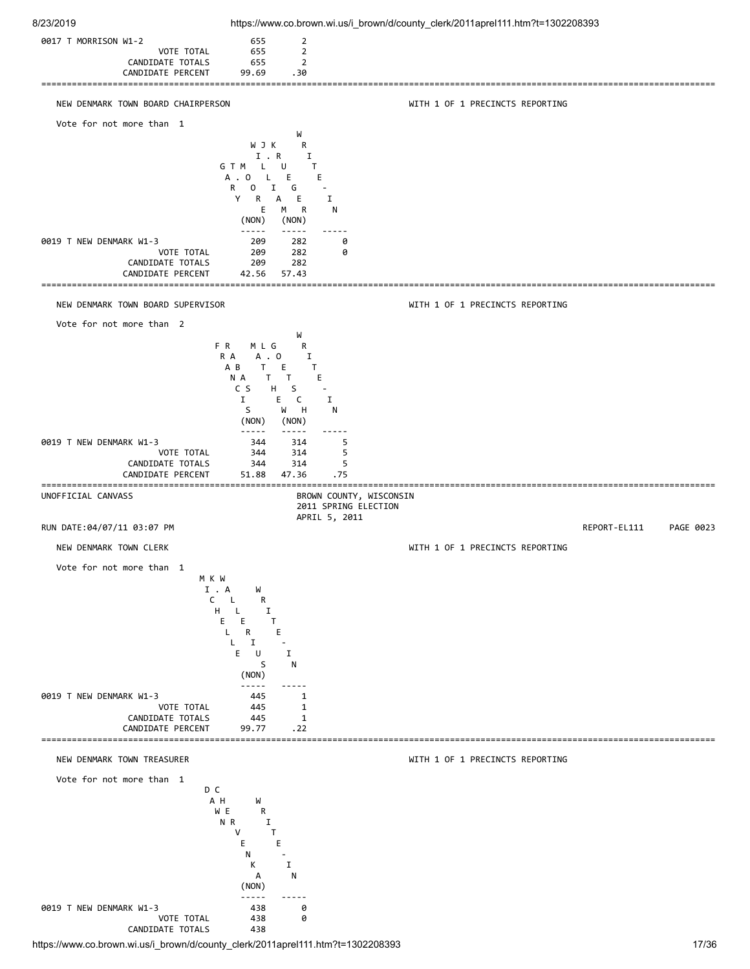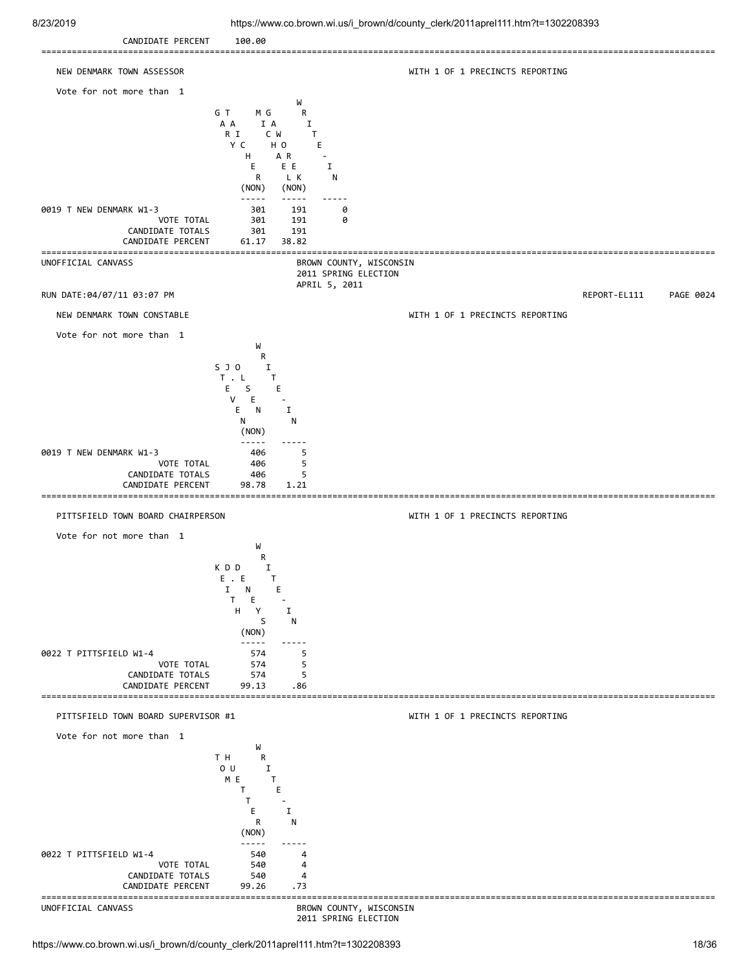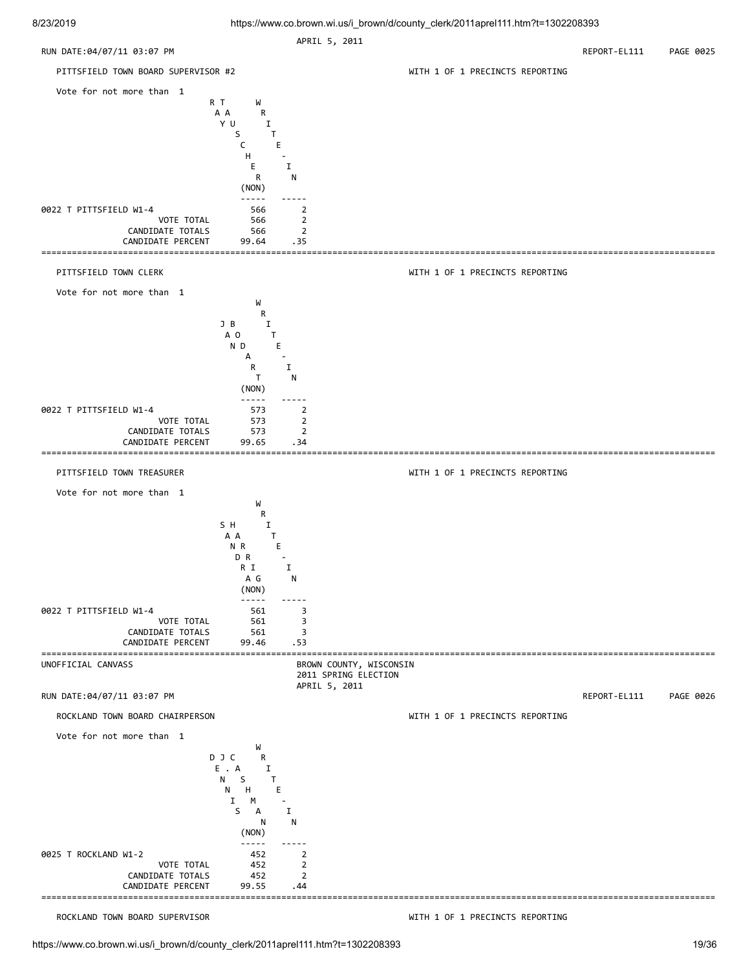| ---------                                                                                                           |                                                                                                                                                                                                                                                                                                                                                                                                                            | APRIL 5, 2011                                             |                                 |              |           |
|---------------------------------------------------------------------------------------------------------------------|----------------------------------------------------------------------------------------------------------------------------------------------------------------------------------------------------------------------------------------------------------------------------------------------------------------------------------------------------------------------------------------------------------------------------|-----------------------------------------------------------|---------------------------------|--------------|-----------|
| RUN DATE:04/07/11 03:07 PM                                                                                          |                                                                                                                                                                                                                                                                                                                                                                                                                            |                                                           |                                 | REPORT-EL111 | PAGE 0025 |
| PITTSFIELD TOWN BOARD SUPERVISOR #2                                                                                 |                                                                                                                                                                                                                                                                                                                                                                                                                            |                                                           | WITH 1 OF 1 PRECINCTS REPORTING |              |           |
| Vote for not more than 1                                                                                            | R T<br>W<br>A A<br>R<br>YU<br>Ι.<br>S<br>T.<br>C<br>E.<br>н<br>E.<br>R<br>(NON)                                                                                                                                                                                                                                                                                                                                            | Ι.<br>N                                                   |                                 |              |           |
| 0022 T PITTSFIELD W1-4<br>VOTE TOTAL<br>CANDIDATE TOTALS<br>CANDIDATE PERCENT                                       | $\frac{1}{2}$<br>566<br>566<br>566<br>99.64                                                                                                                                                                                                                                                                                                                                                                                | $\overline{2}$<br>$\overline{2}$<br>$\overline{2}$<br>.35 |                                 |              |           |
| PITTSFIELD TOWN CLERK                                                                                               |                                                                                                                                                                                                                                                                                                                                                                                                                            |                                                           | WITH 1 OF 1 PRECINCTS REPORTING |              |           |
| Vote for not more than 1                                                                                            | W<br>R<br>J B<br>Ι.<br>A O<br>T<br>ND<br>E<br>А<br>R<br>T<br>(NON)                                                                                                                                                                                                                                                                                                                                                         | $\mathbf I$<br>N                                          |                                 |              |           |
| 0022 T PITTSFIELD W1-4<br>VOTE TOTAL<br>CANDIDATE TOTALS<br>CANDIDATE PERCENT                                       | -----<br>573<br>573<br>573<br>99.65                                                                                                                                                                                                                                                                                                                                                                                        | 2<br>$\overline{2}$<br>$\overline{2}$<br>.34              |                                 |              |           |
| PITTSFIELD TOWN TREASURER                                                                                           |                                                                                                                                                                                                                                                                                                                                                                                                                            |                                                           | WITH 1 OF 1 PRECINCTS REPORTING |              |           |
| Vote for not more than 1                                                                                            |                                                                                                                                                                                                                                                                                                                                                                                                                            |                                                           |                                 |              |           |
| 0022 T PITTSFIELD W1-4<br>VOTE TOTAL<br>CANDIDATE TOTALS<br>CANDIDATE PERCENT<br>---------------------------------- | W<br>R<br>S H<br>Ι.<br>A A<br>T<br>N R<br>Е<br>D R<br>$\sim$<br>R I<br>A G<br>(NON)<br>-----<br>561<br>561<br>561<br>99.46                                                                                                                                                                                                                                                                                                 | $\mathbf I$<br>N<br>3<br>3<br>3<br>.53                    |                                 |              |           |
| UNOFFICIAL CANVASS                                                                                                  |                                                                                                                                                                                                                                                                                                                                                                                                                            | BROWN COUNTY, WISCONSIN<br>2011 SPRING ELECTION           |                                 |              |           |
| RUN DATE: 04/07/11 03:07 PM                                                                                         |                                                                                                                                                                                                                                                                                                                                                                                                                            | APRIL 5, 2011                                             |                                 | REPORT-EL111 | PAGE 0026 |
| ROCKLAND TOWN BOARD CHAIRPERSON                                                                                     |                                                                                                                                                                                                                                                                                                                                                                                                                            |                                                           | WITH 1 OF 1 PRECINCTS REPORTING |              |           |
| Vote for not more than 1                                                                                            | W<br>DJC<br>R<br>E.A<br>Ι.<br>N <sub>1</sub><br>S.<br>T.<br>H<br>N<br>Е<br>Ι.<br>M<br>S<br>A<br>N<br>(NON)                                                                                                                                                                                                                                                                                                                 | $\mathbf I$<br>N                                          |                                 |              |           |
| 0025 T ROCKLAND W1-2<br>VOTE TOTAL<br>CANDIDATE TOTALS<br>CANDIDATE PERCENT                                         | $\frac{1}{2} \frac{1}{2} \frac{1}{2} \frac{1}{2} \frac{1}{2} \frac{1}{2} \frac{1}{2} \frac{1}{2} \frac{1}{2} \frac{1}{2} \frac{1}{2} \frac{1}{2} \frac{1}{2} \frac{1}{2} \frac{1}{2} \frac{1}{2} \frac{1}{2} \frac{1}{2} \frac{1}{2} \frac{1}{2} \frac{1}{2} \frac{1}{2} \frac{1}{2} \frac{1}{2} \frac{1}{2} \frac{1}{2} \frac{1}{2} \frac{1}{2} \frac{1}{2} \frac{1}{2} \frac{1}{2} \frac{$<br>452<br>452<br>452<br>99.55 | 2<br>2<br>$\overline{2}$<br>.44                           |                                 |              |           |
| ROCKLAND TOWN BOARD SUPERVISOR                                                                                      |                                                                                                                                                                                                                                                                                                                                                                                                                            |                                                           | WITH 1 OF 1 PRECINCTS REPORTING |              |           |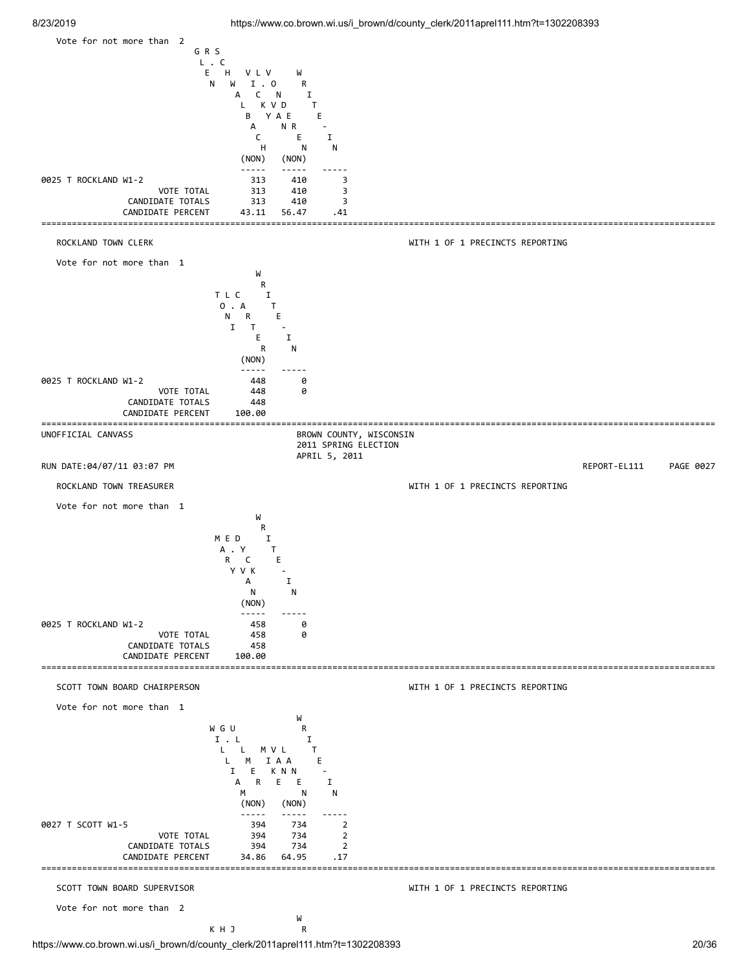

https://www.co.brown.wi.us/i\_brown/d/county\_clerk/2011aprel111.htm?t=1302208393 20/36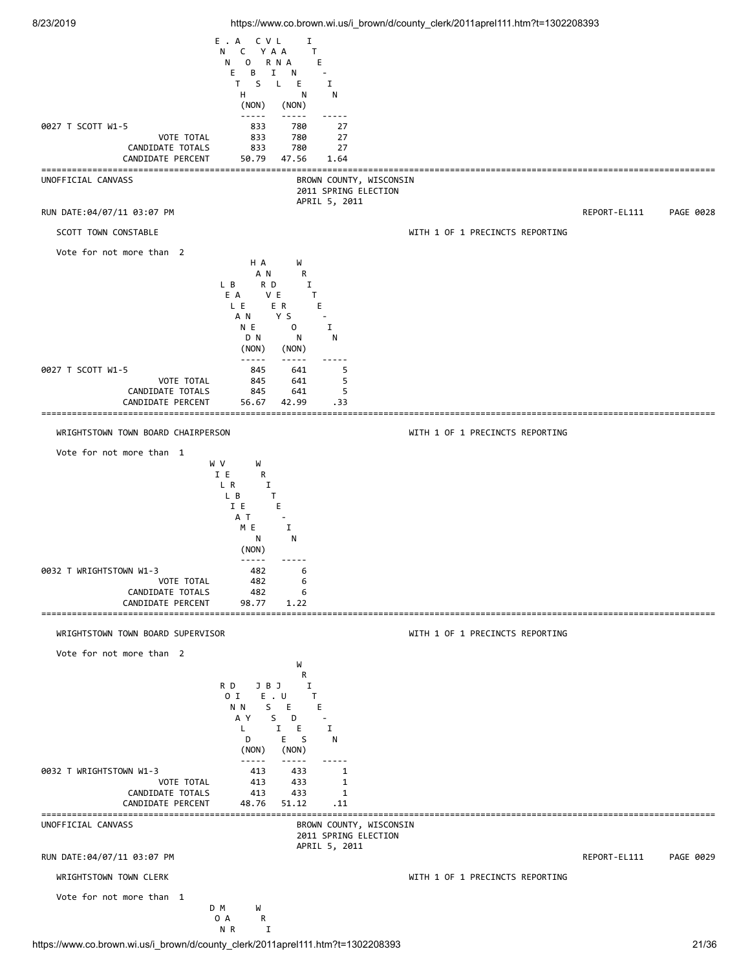|                                                                                 | E.A<br>C V L<br>C<br>YAA<br>N<br>$\mathsf{O}$<br>R N A<br>N                                                                                                                                                                                                                                                                                                                                                                                                                                                                       | Ι.<br>T.<br>Е                                                                                                                                |                                 |              |           |
|---------------------------------------------------------------------------------|-----------------------------------------------------------------------------------------------------------------------------------------------------------------------------------------------------------------------------------------------------------------------------------------------------------------------------------------------------------------------------------------------------------------------------------------------------------------------------------------------------------------------------------|----------------------------------------------------------------------------------------------------------------------------------------------|---------------------------------|--------------|-----------|
|                                                                                 | В<br>E.<br>Ι.<br>S.<br>T.<br>$\mathsf{L}$<br>н<br>(NON)                                                                                                                                                                                                                                                                                                                                                                                                                                                                           | N<br>Е<br>I<br>N<br>N<br>(NON)                                                                                                               |                                 |              |           |
| 0027 T SCOTT W1-5<br>VOTE TOTAL<br>CANDIDATE TOTALS<br>CANDIDATE PERCENT        | -----<br>833<br>833<br>833<br>50.79                                                                                                                                                                                                                                                                                                                                                                                                                                                                                               | -----<br>-----<br>780<br>27<br>780<br>27<br>780<br>27<br>47.56<br>1.64                                                                       |                                 |              |           |
| ----------------------------------<br>UNOFFICIAL CANVASS                        |                                                                                                                                                                                                                                                                                                                                                                                                                                                                                                                                   | BROWN COUNTY, WISCONSIN<br>2011 SPRING ELECTION                                                                                              |                                 |              |           |
| RUN DATE:04/07/11 03:07 PM                                                      |                                                                                                                                                                                                                                                                                                                                                                                                                                                                                                                                   | APRIL 5, 2011                                                                                                                                |                                 | REPORT-EL111 | PAGE 0028 |
| SCOTT TOWN CONSTABLE                                                            |                                                                                                                                                                                                                                                                                                                                                                                                                                                                                                                                   |                                                                                                                                              | WITH 1 OF 1 PRECINCTS REPORTING |              |           |
| Vote for not more than 2                                                        | H A<br>A N<br>L B<br>RD<br>E A<br>V E<br>L E<br>E R<br>Y S<br>AN.<br>N E<br>D N<br>(NON)                                                                                                                                                                                                                                                                                                                                                                                                                                          | W<br>R<br>Ι.<br>T<br>E.<br>$\mathsf{O}$<br>Ι.<br>N<br>N<br>(NON)                                                                             |                                 |              |           |
| 0027 T SCOTT W1-5<br><b>VOTE TOTAL</b><br>CANDIDATE TOTALS<br>CANDIDATE PERCENT | -----<br>845<br>845<br>845<br>56.67                                                                                                                                                                                                                                                                                                                                                                                                                                                                                               | 5<br>641<br>641<br>5<br>5<br>641<br>42.99<br>. 33<br>=====                                                                                   |                                 |              |           |
| WRIGHTSTOWN TOWN BOARD CHAIRPERSON                                              |                                                                                                                                                                                                                                                                                                                                                                                                                                                                                                                                   |                                                                                                                                              | WITH 1 OF 1 PRECINCTS REPORTING |              |           |
| Vote for not more than 1                                                        |                                                                                                                                                                                                                                                                                                                                                                                                                                                                                                                                   |                                                                                                                                              |                                 |              |           |
| 0032 T WRIGHTSTOWN W1-3<br>VOTE TOTAL<br>CANDIDATE TOTALS                       | I E<br>R<br>L R<br>Ι.<br>L B<br>T.<br>I E<br>E.<br>A T<br>I<br>M E<br>N<br>(NON)<br>-----<br>482<br>482<br>482                                                                                                                                                                                                                                                                                                                                                                                                                    | N<br>6<br>6<br>6                                                                                                                             |                                 |              |           |
| CANDIDATE PERCENT                                                               | 98.77                                                                                                                                                                                                                                                                                                                                                                                                                                                                                                                             | 1.22                                                                                                                                         |                                 |              |           |
| WRIGHTSTOWN TOWN BOARD SUPERVISOR                                               |                                                                                                                                                                                                                                                                                                                                                                                                                                                                                                                                   |                                                                                                                                              | WITH 1 OF 1 PRECINCTS REPORTING |              |           |
| Vote for not more than 2                                                        |                                                                                                                                                                                                                                                                                                                                                                                                                                                                                                                                   |                                                                                                                                              |                                 |              |           |
| 0032 T WRIGHTSTOWN W1-3<br>VOTE TOTAL<br>CANDIDATE TOTALS<br>CANDIDATE PERCENT  | R D<br>JBJ<br>$E \cdot U$<br>0 I<br>N N<br>S —<br>E.<br>A Y<br>S<br>L<br>$\mathbf{I}$<br>D<br>(NON)<br>$\frac{1}{2} \frac{1}{2} \frac{1}{2} \frac{1}{2} \frac{1}{2} \frac{1}{2} \frac{1}{2} \frac{1}{2} \frac{1}{2} \frac{1}{2} \frac{1}{2} \frac{1}{2} \frac{1}{2} \frac{1}{2} \frac{1}{2} \frac{1}{2} \frac{1}{2} \frac{1}{2} \frac{1}{2} \frac{1}{2} \frac{1}{2} \frac{1}{2} \frac{1}{2} \frac{1}{2} \frac{1}{2} \frac{1}{2} \frac{1}{2} \frac{1}{2} \frac{1}{2} \frac{1}{2} \frac{1}{2} \frac{$<br>413<br>413<br>413<br>48.76 | W<br>R<br>I<br>T.<br>Ε<br>D<br>$\overline{a}$<br>Е<br>I<br>E <sub>S</sub><br>N<br>(NON)<br>433<br>1<br>433<br>1<br>433<br>1<br>51.12<br>. 11 |                                 |              |           |
| UNOFFICIAL CANVASS                                                              |                                                                                                                                                                                                                                                                                                                                                                                                                                                                                                                                   | BROWN COUNTY, WISCONSIN                                                                                                                      |                                 |              |           |
|                                                                                 |                                                                                                                                                                                                                                                                                                                                                                                                                                                                                                                                   | 2011 SPRING ELECTION<br>APRIL 5, 2011                                                                                                        |                                 |              |           |
| RUN DATE:04/07/11 03:07 PM<br>WRIGHTSTOWN TOWN CLERK                            |                                                                                                                                                                                                                                                                                                                                                                                                                                                                                                                                   |                                                                                                                                              | WITH 1 OF 1 PRECINCTS REPORTING | REPORT-EL111 | PAGE 0029 |
| Vote for not more than 1<br>D M                                                 | W                                                                                                                                                                                                                                                                                                                                                                                                                                                                                                                                 |                                                                                                                                              |                                 |              |           |
|                                                                                 | 0 A<br>R<br>N R<br>Ι.                                                                                                                                                                                                                                                                                                                                                                                                                                                                                                             |                                                                                                                                              |                                 |              |           |

https://www.co.brown.wi.us/i\_brown/d/county\_clerk/2011aprel111.htm?t=1302208393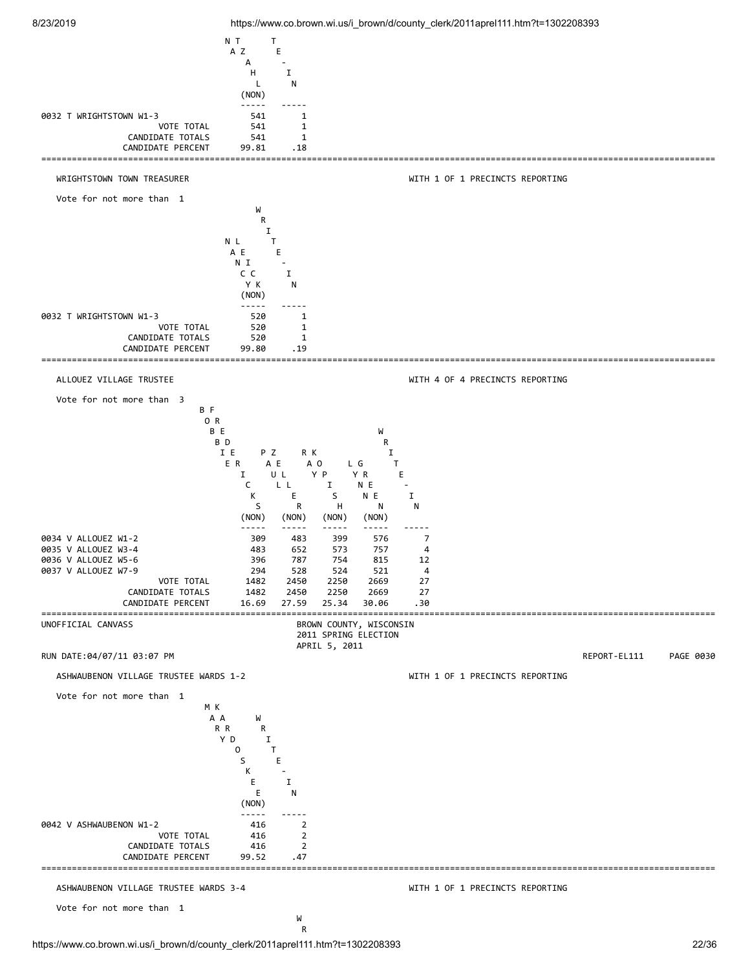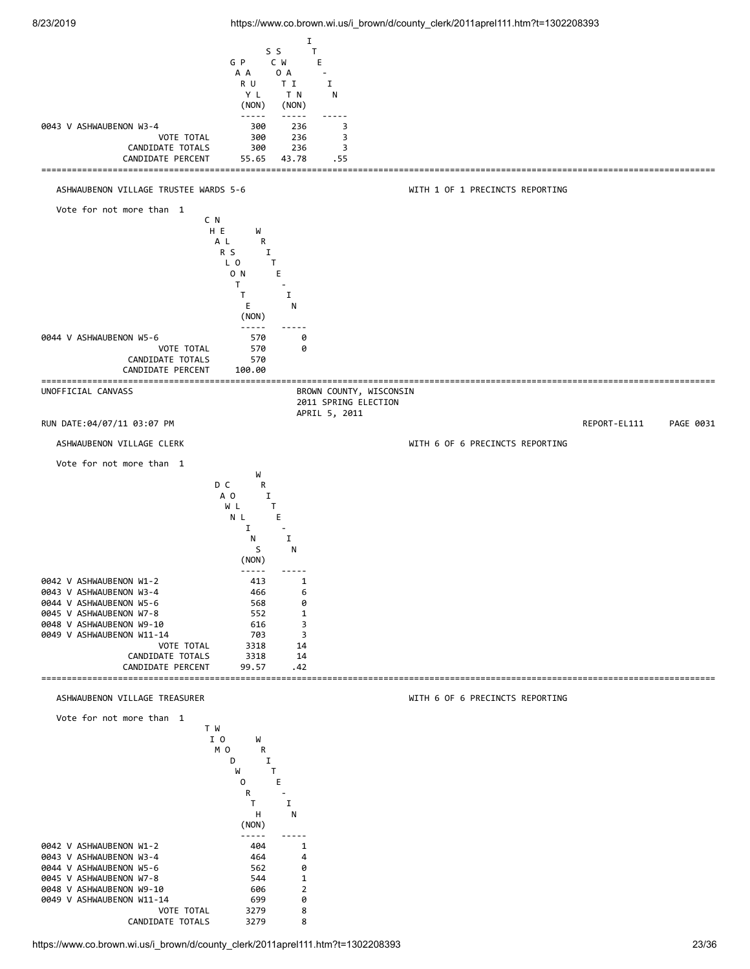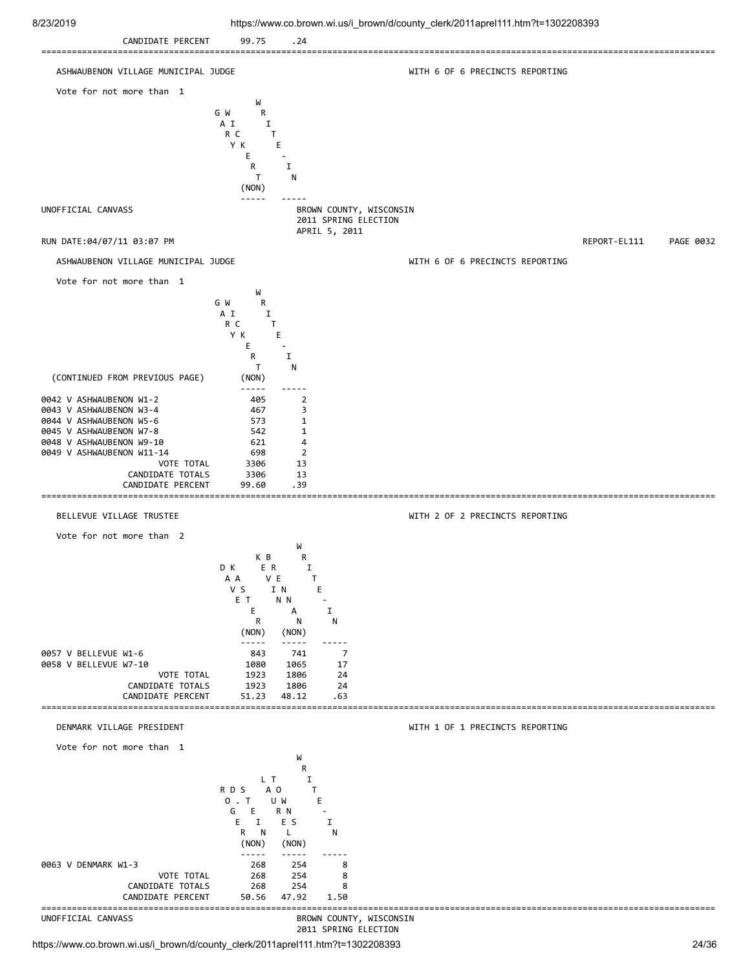![](_page_23_Figure_0.jpeg)

https://www.co.brown.wi.us/i\_brown/d/county\_clerk/2011aprel111.htm?t=1302208393 24/36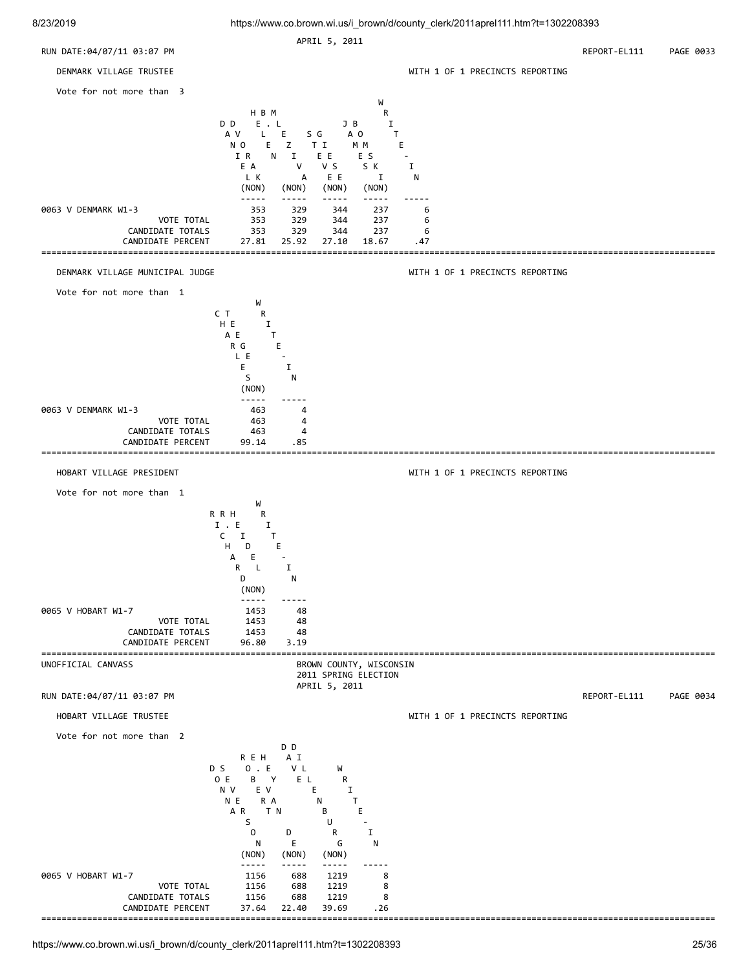![](_page_24_Figure_0.jpeg)

![](_page_24_Figure_2.jpeg)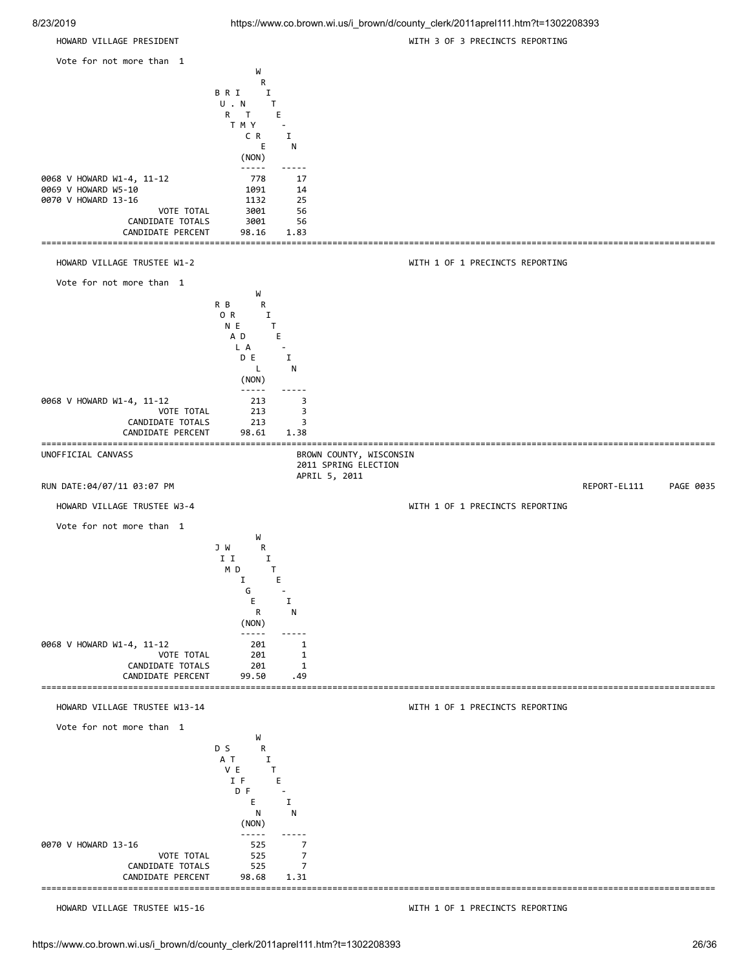| 8/23/2019                             |                                             | https://www.co.brown.wi.us/i_brown/d/county_clerk/2011aprel111.htm?t=1302208393 |           |
|---------------------------------------|---------------------------------------------|---------------------------------------------------------------------------------|-----------|
| HOWARD VILLAGE PRESIDENT              |                                             | WITH 3 OF 3 PRECINCTS REPORTING                                                 |           |
| Vote for not more than 1              |                                             |                                                                                 |           |
|                                       | W                                           |                                                                                 |           |
|                                       | R<br><b>BRI</b><br>Ι.                       |                                                                                 |           |
|                                       | U.N<br>T<br>$\mathsf{T}$                    |                                                                                 |           |
|                                       | Е<br>R<br>T M Y<br>$\overline{\phantom{a}}$ |                                                                                 |           |
|                                       | C R<br>I<br>Е<br>N                          |                                                                                 |           |
|                                       | (NON)                                       |                                                                                 |           |
| 0068 V HOWARD W1-4, 11-12             | $\frac{1}{2}$<br>$\frac{1}{2}$<br>778<br>17 |                                                                                 |           |
| 0069 V HOWARD W5-10                   | 1091<br>14                                  |                                                                                 |           |
| 0070 V HOWARD 13-16<br>VOTE TOTAL     | 25<br>1132<br>3001<br>56                    |                                                                                 |           |
| CANDIDATE TOTALS                      | 3001<br>56                                  |                                                                                 |           |
| CANDIDATE PERCENT                     | 98.16<br>1.83                               |                                                                                 |           |
| HOWARD VILLAGE TRUSTEE W1-2           |                                             | WITH 1 OF 1 PRECINCTS REPORTING                                                 |           |
| Vote for not more than 1              |                                             |                                                                                 |           |
|                                       | W<br>R B                                    |                                                                                 |           |
|                                       | R<br>0 R<br>Ι.                              |                                                                                 |           |
|                                       | N E<br>T<br>A D<br>Е                        |                                                                                 |           |
|                                       | L A<br>$\sim$                               |                                                                                 |           |
|                                       | D E<br>Ι.<br>L<br>N                         |                                                                                 |           |
|                                       | (NON)                                       |                                                                                 |           |
| 0068 V HOWARD W1-4, 11-12             | -----<br>213<br>3                           |                                                                                 |           |
| VOTE TOTAL                            | 213<br>3                                    |                                                                                 |           |
| CANDIDATE TOTALS<br>CANDIDATE PERCENT | 213<br>3<br>98.61<br>1.38                   |                                                                                 |           |
| UNOFFICIAL CANVASS                    |                                             | BROWN COUNTY, WISCONSIN                                                         |           |
|                                       | 2011 SPRING ELECTION<br>APRIL 5, 2011       |                                                                                 |           |
| RUN DATE:04/07/11 03:07 PM            |                                             | REPORT-EL111                                                                    | PAGE 0035 |
| HOWARD VILLAGE TRUSTEE W3-4           |                                             | WITH 1 OF 1 PRECINCTS REPORTING                                                 |           |
| Vote for not more than 1              |                                             |                                                                                 |           |
|                                       | W<br>J W<br>R                               |                                                                                 |           |
|                                       | I I<br>I<br>M D<br>$\mathbf \tau$           |                                                                                 |           |
|                                       | Ι.<br>Ε                                     |                                                                                 |           |
|                                       | G<br>I<br>Ε                                 |                                                                                 |           |
|                                       | R<br>N                                      |                                                                                 |           |
|                                       | (NON)<br>-----                              |                                                                                 |           |
| 0068 V HOWARD W1-4, 11-12             | 201<br>1                                    |                                                                                 |           |
| VOTE TOTAL<br>CANDIDATE TOTALS        | 201<br>1<br>201<br>1                        |                                                                                 |           |
| CANDIDATE PERCENT                     | 99.50<br>. 49                               |                                                                                 |           |
| HOWARD VILLAGE TRUSTEE W13-14         |                                             | WITH 1 OF 1 PRECINCTS REPORTING                                                 |           |
| Vote for not more than 1              |                                             |                                                                                 |           |
|                                       | W                                           |                                                                                 |           |
|                                       | D S<br>R<br>A T<br>I                        |                                                                                 |           |
|                                       | V E<br>Τ<br>E<br>I F                        |                                                                                 |           |
|                                       |                                             |                                                                                 |           |

====================================================================================================================================

HOWARD VILLAGE TRUSTEE W15-16 WITH 1 OF 1 PRECINCTS REPORTING

(NON)

VOTE TOTAL 525 7<br>PATE TOTALS 525 7

 $DF$  -E I N N

 ----- ----- 0070 V HOWARD 13-16 525 7<br>7 7 525 7 VOTE TOTAL

CANDIDATE TOTALS 525<br>CANDIDATE PERCENT 98.68 CANDIDATE PERCENT 98.68 1.31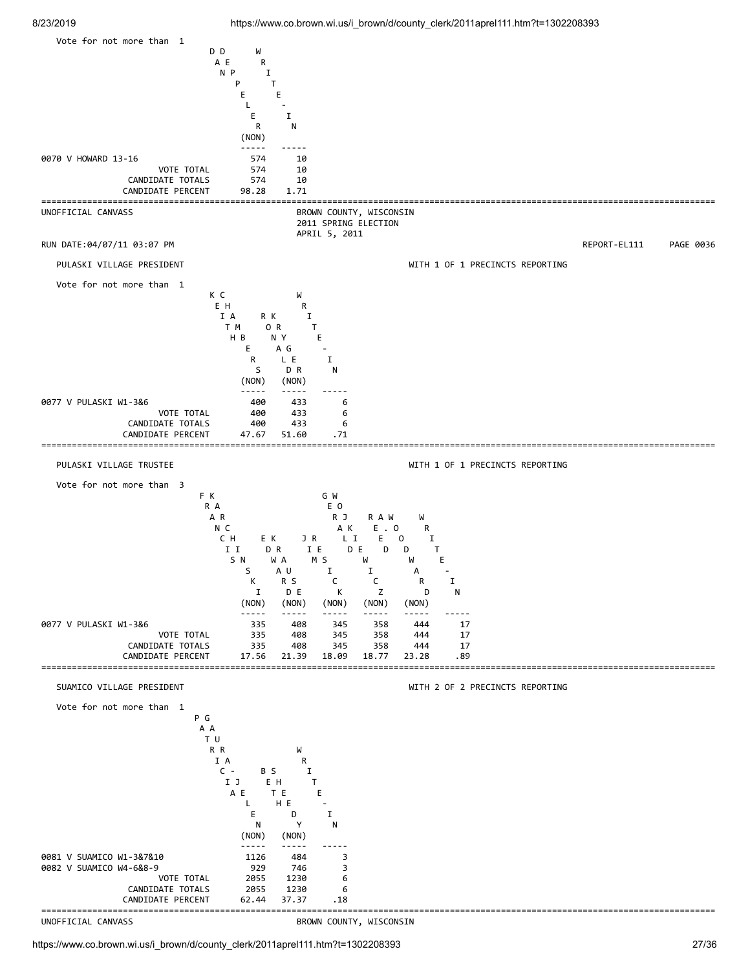![](_page_26_Figure_2.jpeg)

BROWN COUNTY, WISCONSIN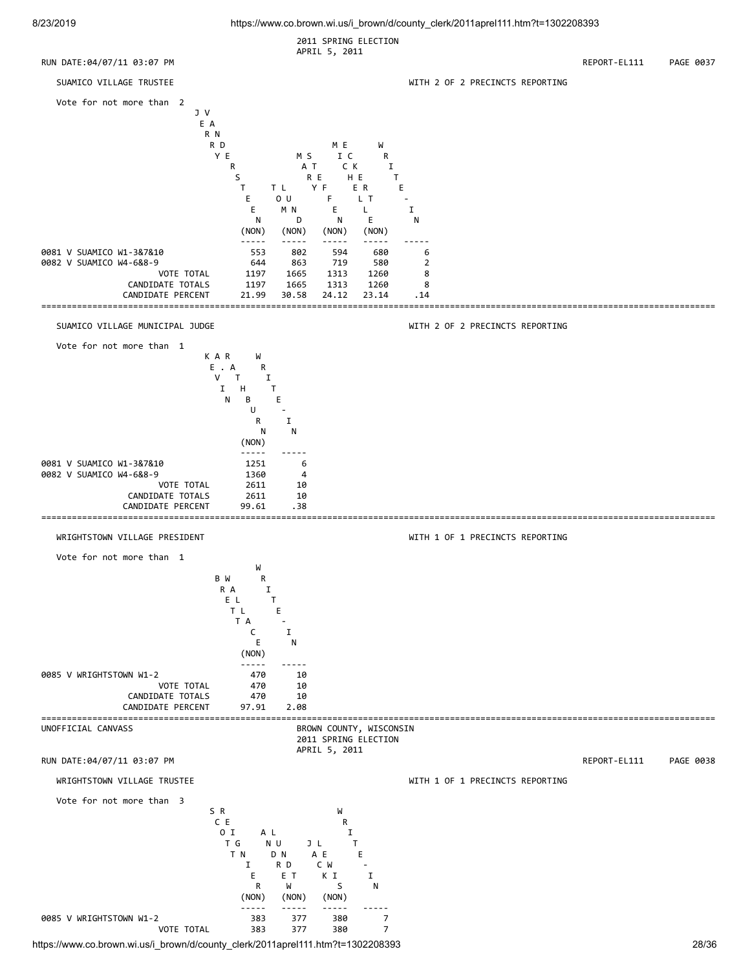![](_page_27_Figure_2.jpeg)

https://www.co.brown.wi.us/i\_brown/d/county\_clerk/2011aprel111.htm?t=1302208393 28/36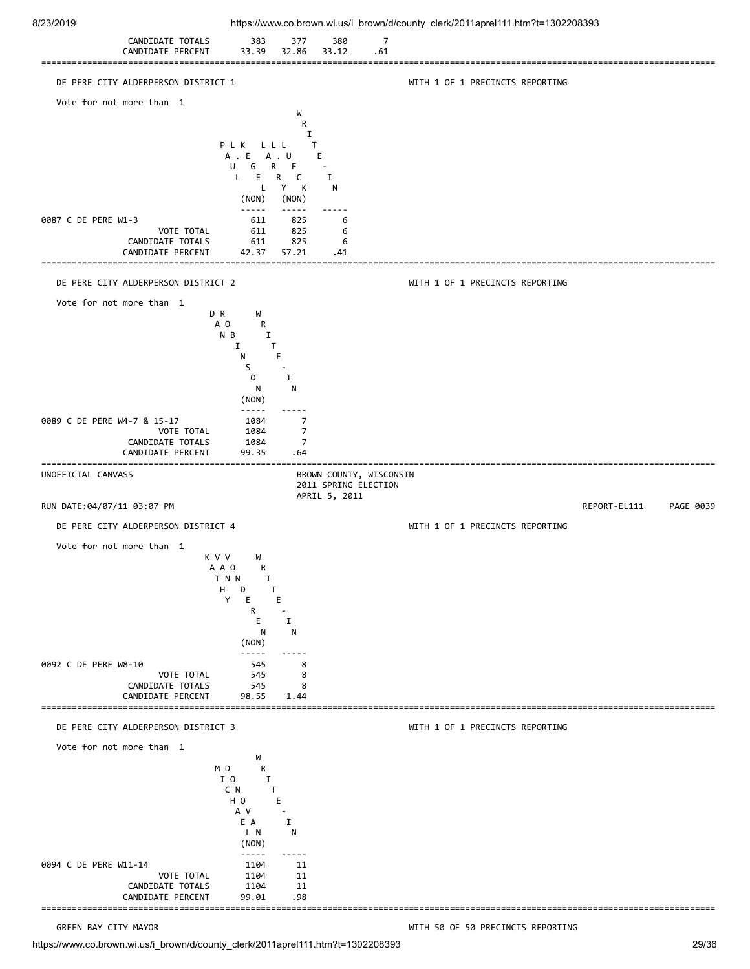![](_page_28_Figure_0.jpeg)

https://www.co.brown.wi.us/i\_brown/d/county\_clerk/2011aprel111.htm?t=1302208393 29/36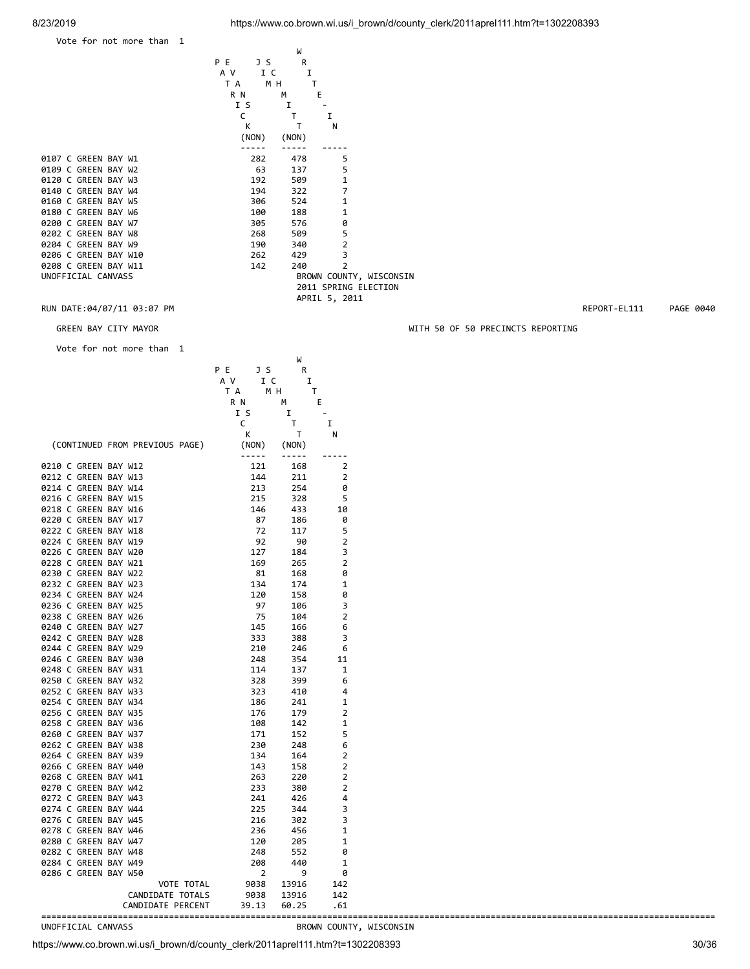Vote for not more than 1

W<sub>1</sub> P E J S R A V I C I TA MH T

|                      | ( NON ) | (NON) |                |
|----------------------|---------|-------|----------------|
|                      |         |       |                |
| 0107 C GREEN BAY W1  | 282     | 478   | 5              |
| 0109 C GREEN BAY W2  | 63      | 137   | 5              |
| 0120 C GREEN BAY W3  | 192     | 509   | 1              |
| 0140 C GREEN BAY W4  | 194     | 322   | 7              |
| 0160 C GREEN BAY W5  | 306     | 524   | 1              |
| 0180 C GREEN BAY W6  | 100     | 188   | 1              |
| 0200 C GREEN BAY W7  | 305     | 576   | ø              |
| 0202 C GREEN BAY W8  | 268     | 509   | 5              |
| 0204 C GREEN BAY W9  | 190     | 340   | $\overline{2}$ |
| 0206 C GREEN BAY W10 | 262     | 429   | 3              |
| 0208 C GREEN BAY W11 | 142     | 240   | $\overline{2}$ |
| UNOFFICIAL CANVASS   |         |       | BROWN COUNT    |

R N M E I S I - C T I K T N (NON) (NON) BROWN COUNTY, WISCONSIN 2011 SPRING ELECTION APRIL 5, 2011

RUN DATE:04/07/11 03:07 PM **REPORT-EL111** PAGE 0040

GREEN BAY CITY MAYOR WITH 50 OF 50 PRECINCTS REPORTING

Vote for not more than 1

|                                |                                                                                 | W                                                                              |                                 |
|--------------------------------|---------------------------------------------------------------------------------|--------------------------------------------------------------------------------|---------------------------------|
|                                | P E<br>J S                                                                      | R                                                                              |                                 |
|                                | A V<br>I C                                                                      | Ι.                                                                             |                                 |
|                                | T A                                                                             | M H<br>$\mathsf T$                                                             |                                 |
|                                | R N                                                                             | М                                                                              | E                               |
|                                | I S                                                                             | Ι.                                                                             | $\blacksquare$                  |
|                                | C                                                                               | T.                                                                             | I                               |
|                                | К                                                                               | $\mathsf{T}$                                                                   | N                               |
| (CONTINUED FROM PREVIOUS PAGE) | (NON)<br>$\sim$ $\sim$ $\sim$ $\sim$ $\sim$                                     | (NON)<br>$\begin{array}{cccccccccc} \dots & \dots & \dots & \dots \end{array}$ |                                 |
|                                |                                                                                 |                                                                                | $- - - - - -$<br>$\overline{2}$ |
| 0210 C GREEN BAY W12           | 121                                                                             | 168                                                                            |                                 |
| 0212 C GREEN BAY W13           | 144<br>213<br>215                                                               | 211                                                                            | 2                               |
| 0214 C GREEN BAY W14           |                                                                                 | 254                                                                            | 0                               |
| 0216 C GREEN BAY W15           |                                                                                 | 328                                                                            | 5                               |
| 0218 C GREEN BAY W16           | 146                                                                             | 433                                                                            | 10                              |
| 0220 C GREEN BAY W17           | 87                                                                              | 186                                                                            | 0                               |
| 0222 C GREEN BAY W18           | $\begin{array}{c} 72 \\ 92 \end{array}$                                         | 117                                                                            | 5                               |
| 0224 C GREEN BAY W19           |                                                                                 | 90                                                                             | $\overline{2}$                  |
| 0226 C GREEN BAY W20           | 127                                                                             | 184                                                                            | 3                               |
| 0228 C GREEN BAY W21           | 169                                                                             | 265                                                                            | 2                               |
| 0230 C GREEN BAY W22           | 81                                                                              | 168                                                                            | 0                               |
| 0232 C GREEN BAY W23           | 134                                                                             | 174                                                                            | 1                               |
| 0234 C GREEN BAY W24           | 120                                                                             | 158                                                                            | 0                               |
| 0236 C GREEN BAY W25           | 97                                                                              | 106                                                                            | 3                               |
| 0238 C GREEN BAY W26           | 75                                                                              | 104                                                                            | 2                               |
| 0240 C GREEN BAY W27           |                                                                                 | 166                                                                            | 6                               |
| 0242 C GREEN BAY W28           | 145<br>333                                                                      | 388                                                                            | 3                               |
| 0244 C GREEN BAY W29           | 210                                                                             | 246                                                                            | 6                               |
| 0246 C GREEN BAY W30           | 248                                                                             | 354                                                                            | 11                              |
|                                |                                                                                 |                                                                                |                                 |
| 0248 C GREEN BAY W31           | 114                                                                             | 137                                                                            | 1                               |
| 0250 C GREEN BAY W32           | 328                                                                             | 399                                                                            | 6                               |
| 0252 C GREEN BAY W33           | 323                                                                             | 410                                                                            | 4                               |
| 0254 C GREEN BAY W34           | 186                                                                             | 241                                                                            | 1                               |
| 0256 C GREEN BAY W35           | 176                                                                             | 179                                                                            | 2                               |
| 0258 C GREEN BAY W36           | 108                                                                             | 142                                                                            | $\mathbf 1$                     |
| 0260 C GREEN BAY W37           | 171                                                                             | 152                                                                            | 5                               |
| 0262 C GREEN BAY W38           | 230                                                                             | 248                                                                            | 6                               |
| 0264 C GREEN BAY W39           | 134                                                                             | 164                                                                            | $\overline{2}$                  |
| 0266 C GREEN BAY W40           | 143                                                                             | 158                                                                            | 2                               |
| 0268 C GREEN BAY W41           | 263                                                                             | 220                                                                            | $\overline{2}$                  |
| 0270 C GREEN BAY W42           | 233                                                                             | 380                                                                            | $\overline{2}$                  |
| 0272 C GREEN BAY W43           | 241                                                                             | 426                                                                            | 4                               |
| 0274 C GREEN BAY W44           |                                                                                 | 344                                                                            | 3                               |
| 0276 C GREEN BAY W45           | 225<br>216                                                                      | 302                                                                            | 3                               |
|                                |                                                                                 | 456                                                                            |                                 |
| 0278 C GREEN BAY W46           | 236                                                                             |                                                                                | 1                               |
| 0280 C GREEN BAY W47           |                                                                                 | 205                                                                            | 1                               |
| 0282 C GREEN BAY W48           | $\begin{array}{r} 256 \\ 120 \\ 248 \\ 208 \\ 2 \\ 9038 \\ 9038 \\ \end{array}$ | 552                                                                            | 0                               |
| 0284 C GREEN BAY W49           |                                                                                 | 440                                                                            | 1                               |
| 0286 C GREEN BAY W50           |                                                                                 | 9                                                                              | 0                               |
| VOTE TOTAL                     |                                                                                 | 13916                                                                          | 142                             |
| CANDIDATE TOTALS               |                                                                                 | 13916                                                                          | 142                             |
| CANDIDATE PERCENT              | 39.13                                                                           | 60.25                                                                          | .61                             |
|                                |                                                                                 |                                                                                |                                 |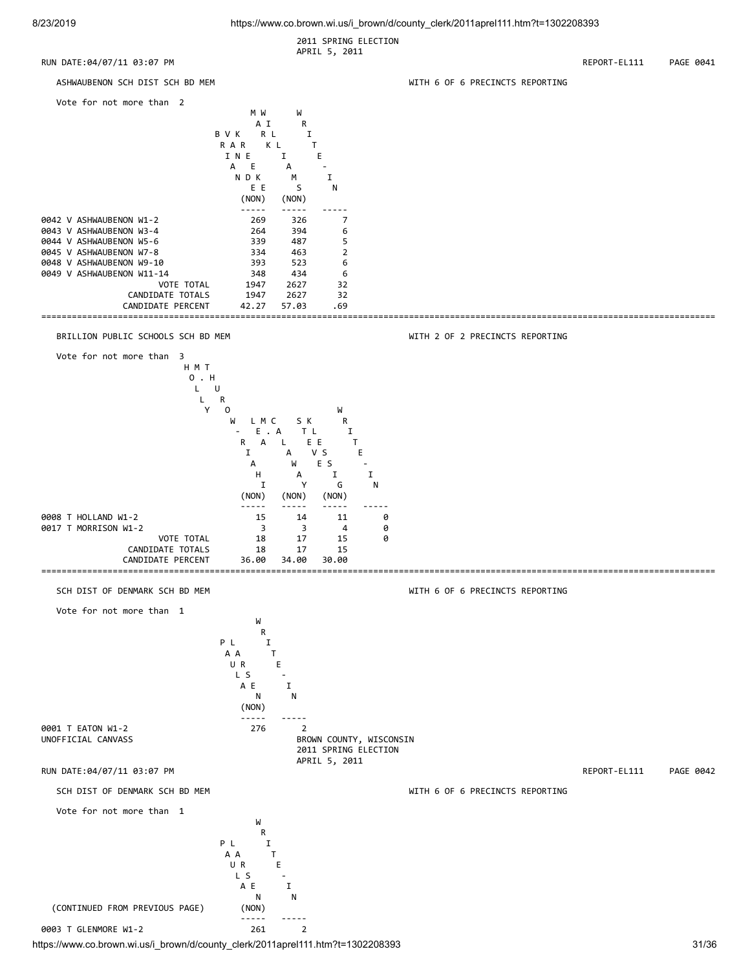2011 SPRING ELECTION APRIL 5, 2011

RUN DATE:04/07/11 03:07 PM **REPORT-EL111** PAGE 0041

![](_page_30_Figure_4.jpeg)

![](_page_30_Figure_5.jpeg)

### BRILLION PUBLIC SCHOOLS SCH BD MEM WITH 2 OF 2 PRECINCTS REPORTING

![](_page_30_Figure_7.jpeg)

![](_page_30_Figure_8.jpeg)

where the contract of the contract of the contract of the contract of the contract of the contract of the contract of the contract of the contract of the contract of the contract of the contract of the contract of the cont **R R** PL I A A T U R E  $\overline{\phantom{a}}$  and  $\overline{\phantom{a}}$  and  $\overline{\phantom{a}}$  and  $\overline{\phantom{a}}$  and  $\overline{\phantom{a}}$  and  $\overline{\phantom{a}}$  and  $\overline{\phantom{a}}$  and  $\overline{\phantom{a}}$  and  $\overline{\phantom{a}}$  and  $\overline{\phantom{a}}$  and  $\overline{\phantom{a}}$  and  $\overline{\phantom{a}}$  and  $\overline{\phantom{a}}$  and  $\overline{\phantom{a}}$  a A E I N N (CONTINUED FROM PREVIOUS PAGE) (NON) ----- ----- 0003 T GLENMORE W1-2 261 261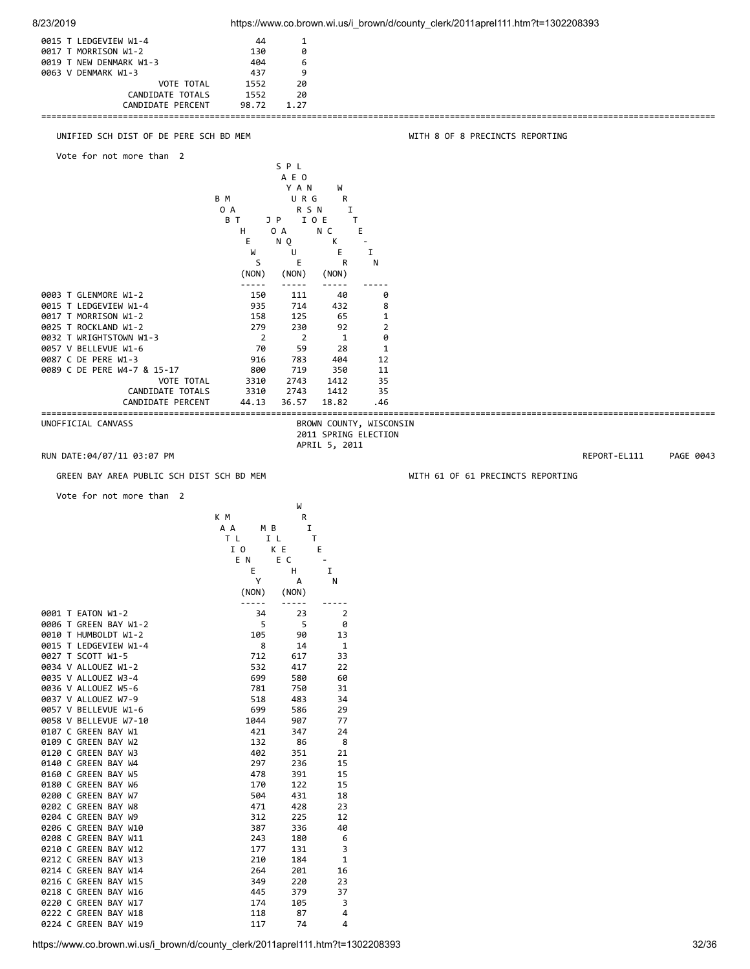![](_page_31_Figure_0.jpeg)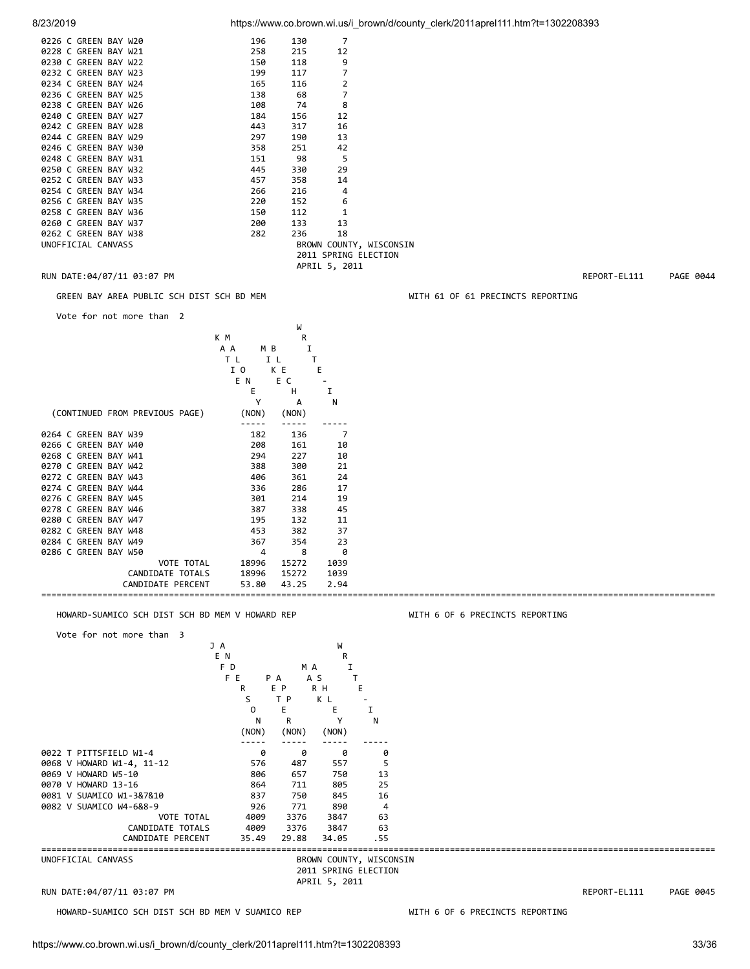| 0226 C GREEN BAY W20        | 196 | 130 |                         |              |           |
|-----------------------------|-----|-----|-------------------------|--------------|-----------|
| 0228 C GREEN BAY W21        | 258 | 215 | 12                      |              |           |
| 0230 C GREEN BAY W22        | 150 | 118 | 9                       |              |           |
| 0232 C GREEN BAY W23        | 199 | 117 |                         |              |           |
| 0234 C GREEN BAY W24        | 165 | 116 |                         |              |           |
| 0236 C GREEN BAY W25        | 138 | 68  |                         |              |           |
| 0238 C GREEN BAY W26        | 108 | 74  | 8                       |              |           |
| 0240 C GREEN BAY W27        | 184 | 156 | 12                      |              |           |
| 0242 C GREEN BAY W28        | 443 | 317 | 16                      |              |           |
| 0244 C GREEN BAY W29        | 297 | 190 | 13                      |              |           |
| 0246 C GREEN BAY W30        | 358 | 251 | 42                      |              |           |
| 0248 C GREEN BAY W31        | 151 | 98  |                         |              |           |
| 0250 C GREEN BAY W32        | 445 | 330 | 29                      |              |           |
| 0252 C GREEN BAY W33        | 457 | 358 | 14                      |              |           |
| 0254 C GREEN BAY W34        | 266 | 216 | 4                       |              |           |
| 0256 C GREEN BAY W35        | 220 | 152 | 6                       |              |           |
| 0258 C GREEN BAY W36        | 150 | 112 |                         |              |           |
| 0260 C GREEN BAY W37        | 200 | 133 | 13                      |              |           |
| 0262 C GREEN BAY W38        | 282 | 236 | 18                      |              |           |
| UNOFFICIAL CANVASS          |     |     | BROWN COUNTY, WISCONSIN |              |           |
|                             |     |     | 2011 SPRING ELECTION    |              |           |
|                             |     |     | APRIL 5, 2011           |              |           |
| RUN DATE: 04/07/11 03:07 PM |     |     |                         | REPORT-EL111 | PAGE 0044 |

### GREEN BAY AREA PUBLIC SCH DIST SCH BD MEM WITH 61 OF 61 PRECINCTS REPORTING

Vote for not more than 2

|                                |            | W     |      |
|--------------------------------|------------|-------|------|
|                                | K M        | R     |      |
|                                | A A<br>M B | I     |      |
|                                | T L        | I L   |      |
|                                | I 0        | K E   | Ε    |
|                                | E N        | E C   |      |
|                                | Е          | Н     | I    |
|                                | Υ          | А     | N    |
| (CONTINUED FROM PREVIOUS PAGE) | (NON)      | (NON) |      |
|                                |            |       |      |
| 0264 C GREEN BAY W39           | 182        | 136   | 7    |
| 0266 C GREEN BAY W40           | 208        | 161   | 10   |
| 0268 C GREEN BAY W41           | 294        | 227   | 10   |
| 0270 C GREEN BAY W42           | 388        | 300   | 21   |
| 0272 C GREEN BAY W43           | 406        | 361   | 24   |
| 0274 C GREEN BAY W44           | 336        | 286   | 17   |
| 0276 C GREEN BAY W45           | 301        | 214   | 19   |
| 0278 C GREEN BAY W46           | 387        | 338   | 45   |
| 0280 C GREEN BAY W47           | 195        | 132   | 11   |
| 0282 C GREEN BAY W48           | 453        | 382   | 37   |
| 0284 C GREEN BAY W49           | 367        | 354   | 23   |
| 0286 C GREEN BAY W50           | 4          | 8     | 0    |
| <b>VOTE TOTAL</b>              |            | 15272 |      |
| CANDIDATE TOTALS               | 18996      |       | 1039 |
|                                | 18996      | 15272 | 1039 |
| CANDIDATE PERCENT              | 53.80      | 43.25 | 2.94 |

## HOWARD-SUAMICO SCH DIST SCH BD MEM V HOWARD REP WITH 6 OF 6 PRECINCTS REPORTING

### Vote for not more than 3 J A W E N R F D M A I FE PA AS T R EP RH E S TP KL - O E E I N R Y N (NON) (NON) (NON) ----- ----- ----- ----- 0022 T PITTSFIELD W1-4 0 0 0 0 0068 V HOWARD W1-4, 11-12 576 487 557 5 0069 V HOWARD W5-10 806 657 750 13 0070 V HOWARD 13-16 864 711 805 25 0081 V SUAMICO W1-3&7&10 837 750 845<br>0082 V SUAMICO W4-6&8-9 926 771 890 0082 V SUAMICO W4-6&8-9 926 771 890 4 VOTE TOTAL 4009<br>DATE TOTALS 4009 CANDIDATE TOTALS 4009 3376 3847 63 CANDIDATE PERCENT 35.49 29.88 34.05 .55 ==================================================================================================================================== BROWN COUNTY, WISCONSIN 2011 SPRING ELECTION APRIL 5, 2011

RUN DATE:04/07/11 03:07 PM REPORT-EL111 PAGE 0045

HOWARD-SUAMICO SCH DIST SCH BD MEM V SUAMICO REP WITH 6 OF 6 PRECINCTS REPORTING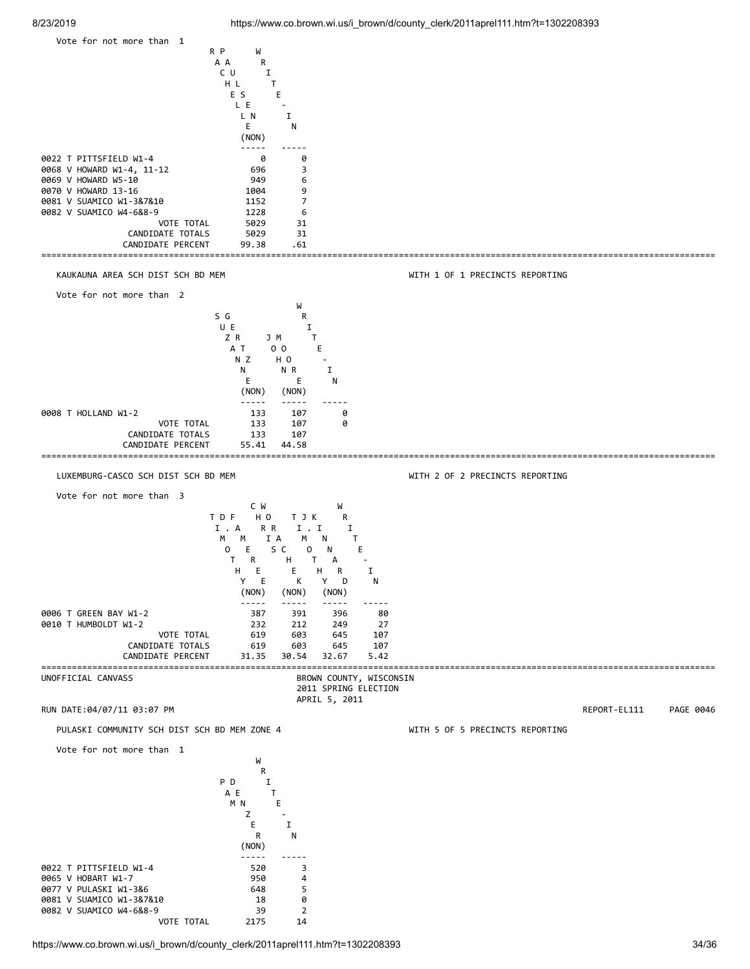![](_page_33_Figure_2.jpeg)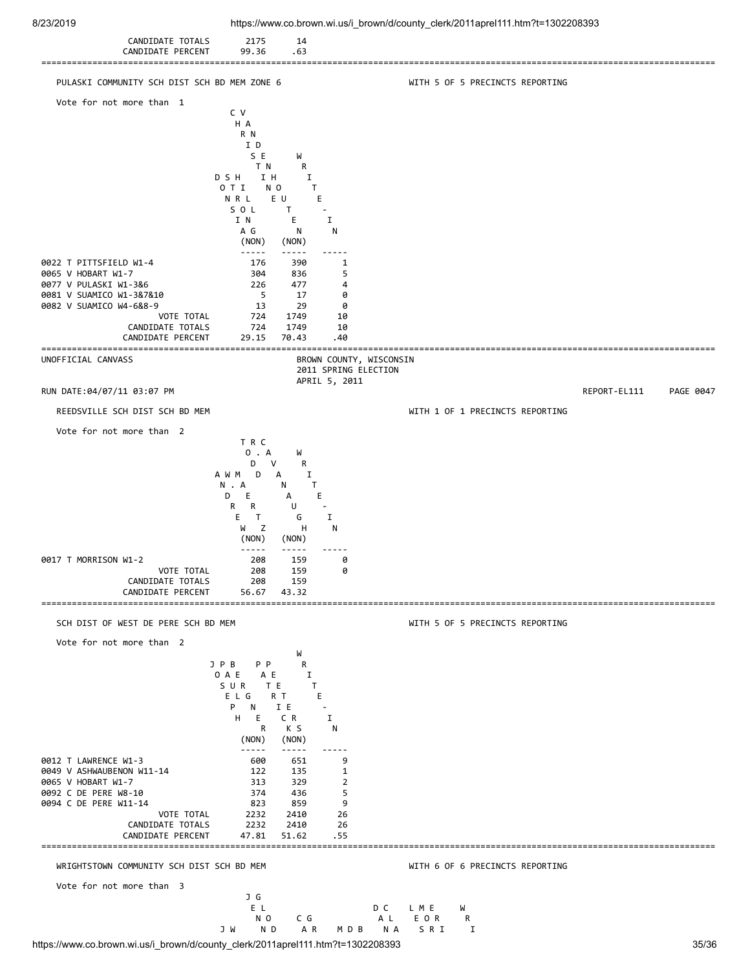| 8/23/2019                                                                                                                                                                                                                                   |                                                                                                                                                                                                                                                                          |                                                                                                 | https://www.co.brown.wi.us/i_brown/d/county_clerk/2011aprel111.htm?t=1302208393 |                                  |
|---------------------------------------------------------------------------------------------------------------------------------------------------------------------------------------------------------------------------------------------|--------------------------------------------------------------------------------------------------------------------------------------------------------------------------------------------------------------------------------------------------------------------------|-------------------------------------------------------------------------------------------------|---------------------------------------------------------------------------------|----------------------------------|
| CANDIDATE TOTALS<br>CANDIDATE PERCENT                                                                                                                                                                                                       | 2175<br>14<br>99.36<br>.63                                                                                                                                                                                                                                               |                                                                                                 |                                                                                 |                                  |
| PULASKI COMMUNITY SCH DIST SCH BD MEM ZONE 6                                                                                                                                                                                                |                                                                                                                                                                                                                                                                          |                                                                                                 | WITH 5 OF 5 PRECINCTS REPORTING                                                 |                                  |
| Vote for not more than 1                                                                                                                                                                                                                    | C V<br>H A<br>R N<br>I D<br>S E<br>W<br>T N<br>R<br>D S H<br>IH<br>Ι.<br>O T I<br>N O<br>N R L<br>E U<br>SOL<br>T<br>I N<br>Е                                                                                                                                            | T.<br>Ε.<br>Ι.                                                                                  |                                                                                 |                                  |
| 0022 T PITTSFIELD W1-4<br>0065 V HOBART W1-7<br>0077 V PULASKI W1-3&6                                                                                                                                                                       | A G<br>N<br>(NON)<br>(NON)<br>$\omega = \omega = \omega$<br>$- - - - -$<br>176<br>390<br>304<br>836<br>226<br>477                                                                                                                                                        | N<br>1<br>5<br>4                                                                                |                                                                                 |                                  |
| 0081 V SUAMICO W1-3&7&10<br>0082 V SUAMICO W4-6&8-9<br>VOTE TOTAL<br>CANDIDATE TOTALS<br>CANDIDATE PERCENT                                                                                                                                  | 5<br>17<br>13<br>29<br>724<br>1749<br>724<br>1749<br>29.15<br>70.43                                                                                                                                                                                                      | 0<br>0<br>10<br>10<br>.40                                                                       |                                                                                 |                                  |
| UNOFFICIAL CANVASS                                                                                                                                                                                                                          |                                                                                                                                                                                                                                                                          | BROWN COUNTY, WISCONSIN<br>2011 SPRING ELECTION                                                 |                                                                                 |                                  |
| RUN DATE:04/07/11 03:07 PM                                                                                                                                                                                                                  |                                                                                                                                                                                                                                                                          | APRIL 5, 2011                                                                                   |                                                                                 | PAGE 0047<br>REPORT-EL111        |
| REEDSVILLE SCH DIST SCH BD MEM                                                                                                                                                                                                              |                                                                                                                                                                                                                                                                          |                                                                                                 | WITH 1 OF 1 PRECINCTS REPORTING                                                 |                                  |
| 0017 T MORRISON W1-2<br>VOTE TOTAL<br>CANDIDATE TOTALS<br>CANDIDATE PERCENT                                                                                                                                                                 | 0 . A<br>W<br>R<br>D<br>v<br>A W M<br>Ι.<br>$\Box$<br>А<br>N . A<br>N<br>E.<br>D<br>А<br>R<br>U<br>R<br>Е<br>$\top$<br>G<br>W<br>Z<br>н<br>(NON)<br>(NON)<br>-----<br>208<br>159<br>208<br>159<br>208<br>159<br>56.67<br>43.32                                           | T<br>E.<br>Ι.<br>N<br>0<br>0                                                                    |                                                                                 |                                  |
| SCH DIST OF WEST DE PERE SCH BD MEM                                                                                                                                                                                                         |                                                                                                                                                                                                                                                                          |                                                                                                 | WITH 5 OF 5 PRECINCTS REPORTING                                                 |                                  |
| Vote for not more than 2<br>0012 T LAWRENCE W1-3<br>0049 V ASHWAUBENON W11-14<br>0065 V HOBART W1-7<br>0092 C DE PERE W8-10<br>0094 C DE PERE W11-14<br>VOTE TOTAL<br>CANDIDATE TOTALS<br>CANDIDATE PERCENT<br>============================ | W<br>JPB<br>P P<br>R<br>0 A E<br>A E<br>Ι.<br>SUR<br>TE.<br>ELG<br>R T<br>P.<br>I E<br>N<br>H<br>E<br>C R<br>K S<br>R<br>(NON)<br>(NON)<br>-----<br>600<br>651<br>122<br>135<br>329<br>313<br>374<br>436<br>823<br>859<br>2232<br>2410<br>2232<br>2410<br>47.81<br>51.62 | T.<br>E.<br>I<br>N<br>9<br>1<br>2<br>5<br>9<br>26<br>26<br>. 55<br>---------------------------- |                                                                                 | ================================ |
| WRIGHTSTOWN COMMUNITY SCH DIST SCH BD MEM                                                                                                                                                                                                   |                                                                                                                                                                                                                                                                          |                                                                                                 | WITH 6 OF 6 PRECINCTS REPORTING                                                 |                                  |
| Vote for not more than 3                                                                                                                                                                                                                    | J G<br>E L<br>N O<br>C G<br>J W<br>ND<br>A R                                                                                                                                                                                                                             | D C<br>A L<br>MDB<br>N A                                                                        | L M E<br>W<br>E O R<br>R<br>SRI<br>I                                            |                                  |